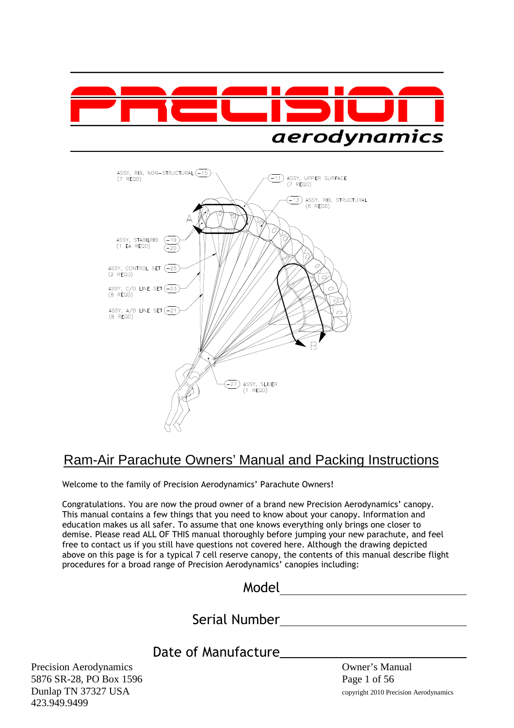



# Ram-Air Parachute Owners' Manual and Packing Instructions

Welcome to the family of Precision Aerodynamics' Parachute Owners!

Congratulations. You are now the proud owner of a brand new Precision Aerodynamics' canopy. This manual contains a few things that you need to know about your canopy. Information and education makes us all safer. To assume that one knows everything only brings one closer to demise. Please read ALL OF THIS manual thoroughly before jumping your new parachute, and feel free to contact us if you still have questions not covered here. Although the drawing depicted above on this page is for a typical 7 cell reserve canopy, the contents of this manual describe flight procedures for a broad range of Precision Aerodynamics' canopies including:

| Model |  |
|-------|--|
|       |  |

Serial Number

Date of Manufacture

Precision Aerodynamics **Owner's Manual** 5876 SR-28, PO Box 1596 Page 1 of 56 Dunlap TN 37327 USA copyright 2010 Precision Aerodynamics 423.949.9499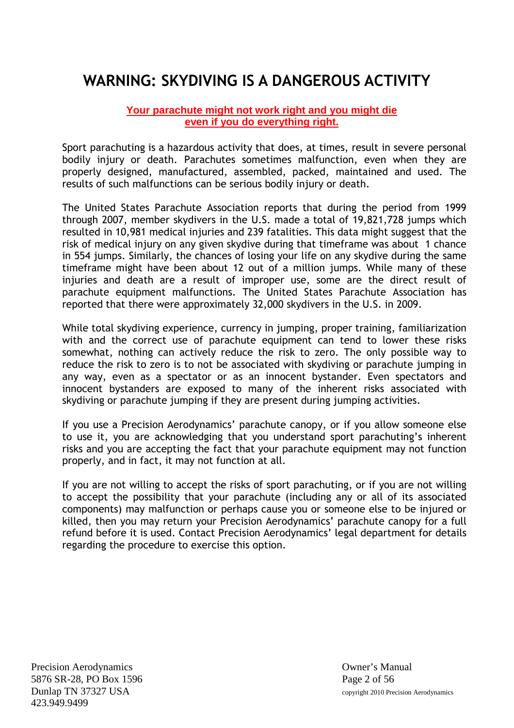# **WARNING: SKYDIVING IS A DANGEROUS ACTIVITY**

#### **Your parachute might not work right and you might die even if you do everything right.**

Sport parachuting is a hazardous activity that does, at times, result in severe personal bodily injury or death. Parachutes sometimes malfunction, even when they are properly designed, manufactured, assembled, packed, maintained and used. The results of such malfunctions can be serious bodily injury or death.

The United States Parachute Association reports that during the period from 1999 through 2007, member skydivers in the U.S. made a total of 19,821,728 jumps which resulted in 10,981 medical injuries and 239 fatalities. This data might suggest that the risk of medical injury on any given skydive during that timeframe was about 1 chance in 554 jumps. Similarly, the chances of losing your life on any skydive during the same timeframe might have been about 12 out of a million jumps. While many of these injuries and death are a result of improper use, some are the direct result of parachute equipment malfunctions. The United States Parachute Association has reported that there were approximately 32,000 skydivers in the U.S. in 2009.

While total skydiving experience, currency in jumping, proper training, familiarization with and the correct use of parachute equipment can tend to lower these risks somewhat, nothing can actively reduce the risk to zero. The only possible way to reduce the risk to zero is to not be associated with skydiving or parachute jumping in any way, even as a spectator or as an innocent bystander. Even spectators and innocent bystanders are exposed to many of the inherent risks associated with skydiving or parachute jumping if they are present during jumping activities.

If you use a Precision Aerodynamics' parachute canopy, or if you allow someone else to use it, you are acknowledging that you understand sport parachuting's inherent risks and you are accepting the fact that your parachute equipment may not function properly, and in fact, it may not function at all.

If you are not willing to accept the risks of sport parachuting, or if you are not willing to accept the possibility that your parachute (including any or all of its associated components) may malfunction or perhaps cause you or someone else to be injured or killed, then you may return your Precision Aerodynamics' parachute canopy for a full refund before it is used. Contact Precision Aerodynamics' legal department for details regarding the procedure to exercise this option.

Precision Aerodynamics Owner's Manual 5876 SR-28, PO Box 1596 Page 2 of 56 Dunlap TN 37327 USA copyright 2010 Precision Aerodynamics 423.949.9499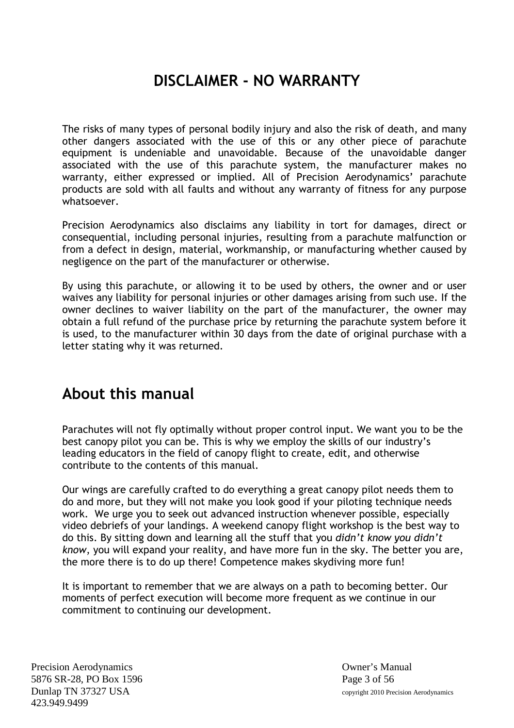# **DISCLAIMER - NO WARRANTY**

The risks of many types of personal bodily injury and also the risk of death, and many other dangers associated with the use of this or any other piece of parachute equipment is undeniable and unavoidable. Because of the unavoidable danger associated with the use of this parachute system, the manufacturer makes no warranty, either expressed or implied. All of Precision Aerodynamics' parachute products are sold with all faults and without any warranty of fitness for any purpose whatsoever.

Precision Aerodynamics also disclaims any liability in tort for damages, direct or consequential, including personal injuries, resulting from a parachute malfunction or from a defect in design, material, workmanship, or manufacturing whether caused by negligence on the part of the manufacturer or otherwise.

By using this parachute, or allowing it to be used by others, the owner and or user waives any liability for personal injuries or other damages arising from such use. If the owner declines to waiver liability on the part of the manufacturer, the owner may obtain a full refund of the purchase price by returning the parachute system before it is used, to the manufacturer within 30 days from the date of original purchase with a letter stating why it was returned.

# **About this manual**

Parachutes will not fly optimally without proper control input. We want you to be the best canopy pilot you can be. This is why we employ the skills of our industry's leading educators in the field of canopy flight to create, edit, and otherwise contribute to the contents of this manual.

Our wings are carefully crafted to do everything a great canopy pilot needs them to do and more, but they will not make you look good if your piloting technique needs work. We urge you to seek out advanced instruction whenever possible, especially video debriefs of your landings. A weekend canopy flight workshop is the best way to do this. By sitting down and learning all the stuff that you *didn't know you didn't know*, you will expand your reality, and have more fun in the sky. The better you are, the more there is to do up there! Competence makes skydiving more fun!

It is important to remember that we are always on a path to becoming better. Our moments of perfect execution will become more frequent as we continue in our commitment to continuing our development.

Precision Aerodynamics Owner's Manual 5876 SR-28, PO Box 1596 Page 3 of 56 Dunlap TN 37327 USA copyright 2010 Precision Aerodynamics 423.949.9499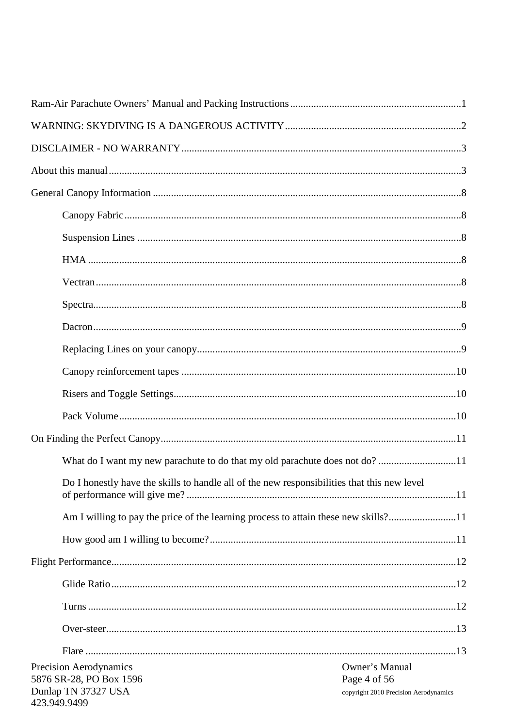| Do I honestly have the skills to handle all of the new responsibilities that this new level                                |                                       |
|----------------------------------------------------------------------------------------------------------------------------|---------------------------------------|
| Am I willing to pay the price of the learning process to attain these new skills?11                                        |                                       |
|                                                                                                                            |                                       |
|                                                                                                                            |                                       |
|                                                                                                                            |                                       |
|                                                                                                                            |                                       |
|                                                                                                                            |                                       |
|                                                                                                                            |                                       |
| Precision Aerodynamics<br>Owner's Manual<br>Page 4 of 56<br>5876 SR-28, PO Box 1596<br>Dunlap TN 37327 USA<br>423.949.9499 | copyright 2010 Precision Aerodynamics |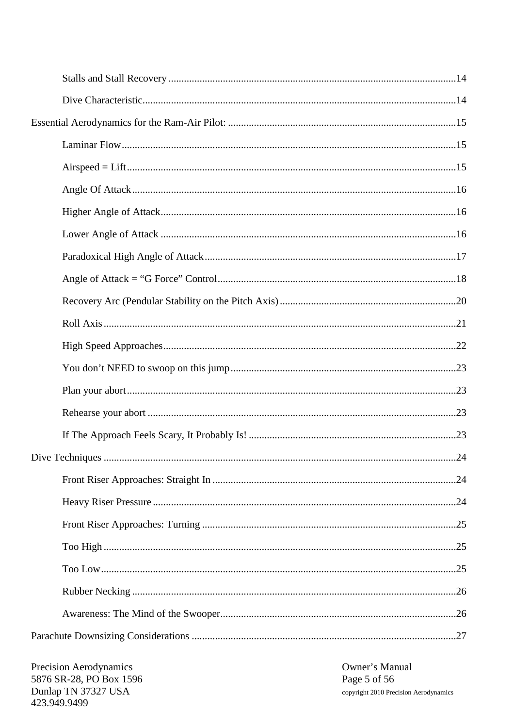Precision Aerodynamics 5876 SR-28, PO Box 1596 Dunlap TN 37327 USA 423.949.9499

Owner's Manual Page 5 of 56 copyright 2010 Precision Aerodynamics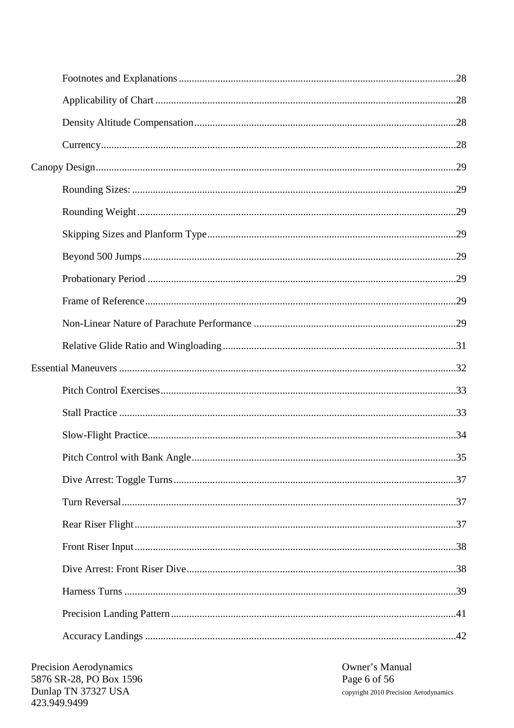Owner's Manual Page 6 of 56 copyright 2010 Precision Aerodynamics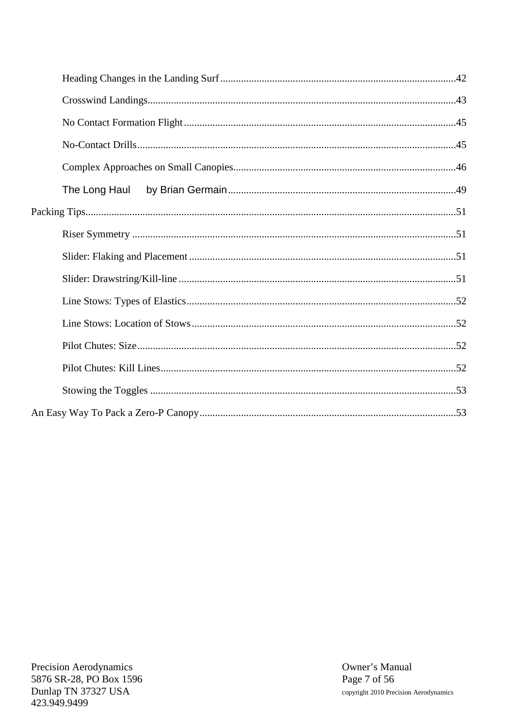| The Long Haul |  |
|---------------|--|
|               |  |
|               |  |
|               |  |
|               |  |
|               |  |
|               |  |
|               |  |
|               |  |
|               |  |
|               |  |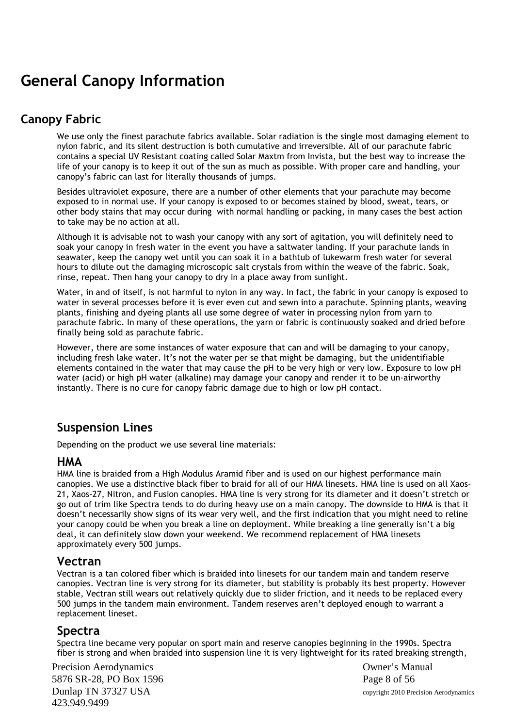# **General Canopy Information**

# **Canopy Fabric**

We use only the finest parachute fabrics available. Solar radiation is the single most damaging element to nylon fabric, and its silent destruction is both cumulative and irreversible. All of our parachute fabric contains a special UV Resistant coating called Solar Maxtm from Invista, but the best way to increase the life of your canopy is to keep it out of the sun as much as possible. With proper care and handling, your canopy's fabric can last for literally thousands of jumps.

Besides ultraviolet exposure, there are a number of other elements that your parachute may become exposed to in normal use. If your canopy is exposed to or becomes stained by blood, sweat, tears, or other body stains that may occur during with normal handling or packing, in many cases the best action to take may be no action at all.

Although it is advisable not to wash your canopy with any sort of agitation, you will definitely need to soak your canopy in fresh water in the event you have a saltwater landing. If your parachute lands in seawater, keep the canopy wet until you can soak it in a bathtub of lukewarm fresh water for several hours to dilute out the damaging microscopic salt crystals from within the weave of the fabric. Soak, rinse, repeat. Then hang your canopy to dry in a place away from sunlight.

Water, in and of itself, is not harmful to nylon in any way. In fact, the fabric in your canopy is exposed to water in several processes before it is ever even cut and sewn into a parachute. Spinning plants, weaving plants, finishing and dyeing plants all use some degree of water in processing nylon from yarn to parachute fabric. In many of these operations, the yarn or fabric is continuously soaked and dried before finally being sold as parachute fabric.

However, there are some instances of water exposure that can and will be damaging to your canopy, including fresh lake water. It's not the water per se that might be damaging, but the unidentifiable elements contained in the water that may cause the pH to be very high or very low. Exposure to low pH water (acid) or high pH water (alkaline) may damage your canopy and render it to be un-airworthy instantly. There is no cure for canopy fabric damage due to high or low pH contact.

#### **Suspension Lines**

Depending on the product we use several line materials:

#### **HMA**

HMA line is braided from a High Modulus Aramid fiber and is used on our highest performance main canopies. We use a distinctive black fiber to braid for all of our HMA linesets. HMA line is used on all Xaos-21, Xaos-27, Nitron, and Fusion canopies. HMA line is very strong for its diameter and it doesn't stretch or go out of trim like Spectra tends to do during heavy use on a main canopy. The downside to HMA is that it doesn't necessarily show signs of its wear very well, and the first indication that you might need to reline your canopy could be when you break a line on deployment. While breaking a line generally isn't a big deal, it can definitely slow down your weekend. We recommend replacement of HMA linesets approximately every 500 jumps.

#### **Vectran**

Vectran is a tan colored fiber which is braided into linesets for our tandem main and tandem reserve canopies. Vectran line is very strong for its diameter, but stability is probably its best property. However stable, Vectran still wears out relatively quickly due to slider friction, and it needs to be replaced every 500 jumps in the tandem main environment. Tandem reserves aren't deployed enough to warrant a replacement lineset.

#### **Spectra**

Spectra line became very popular on sport main and reserve canopies beginning in the 1990s. Spectra fiber is strong and when braided into suspension line it is very lightweight for its rated breaking strength,

Precision Aerodynamics **Owner's Manual** 5876 SR-28, PO Box 1596 Page 8 of 56 Dunlap TN 37327 USA copyright 2010 Precision Aerodynamics 423.949.9499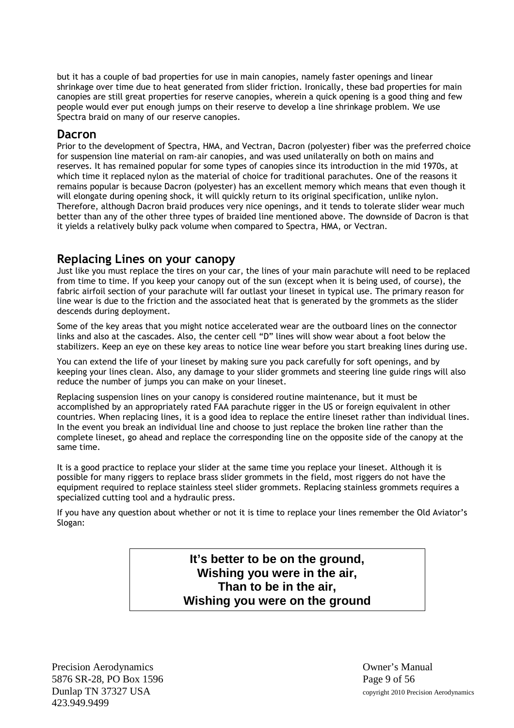but it has a couple of bad properties for use in main canopies, namely faster openings and linear shrinkage over time due to heat generated from slider friction. Ironically, these bad properties for main canopies are still great properties for reserve canopies, wherein a quick opening is a good thing and few people would ever put enough jumps on their reserve to develop a line shrinkage problem. We use Spectra braid on many of our reserve canopies.

#### **Dacron**

Prior to the development of Spectra, HMA, and Vectran, Dacron (polyester) fiber was the preferred choice for suspension line material on ram-air canopies, and was used unilaterally on both on mains and reserves. It has remained popular for some types of canopies since its introduction in the mid 1970s, at which time it replaced nylon as the material of choice for traditional parachutes. One of the reasons it remains popular is because Dacron (polyester) has an excellent memory which means that even though it will elongate during opening shock, it will quickly return to its original specification, unlike nylon. Therefore, although Dacron braid produces very nice openings, and it tends to tolerate slider wear much better than any of the other three types of braided line mentioned above. The downside of Dacron is that it yields a relatively bulky pack volume when compared to Spectra, HMA, or Vectran.

#### **Replacing Lines on your canopy**

Just like you must replace the tires on your car, the lines of your main parachute will need to be replaced from time to time. If you keep your canopy out of the sun (except when it is being used, of course), the fabric airfoil section of your parachute will far outlast your lineset in typical use. The primary reason for line wear is due to the friction and the associated heat that is generated by the grommets as the slider descends during deployment.

Some of the key areas that you might notice accelerated wear are the outboard lines on the connector links and also at the cascades. Also, the center cell "D" lines will show wear about a foot below the stabilizers. Keep an eye on these key areas to notice line wear before you start breaking lines during use.

You can extend the life of your lineset by making sure you pack carefully for soft openings, and by keeping your lines clean. Also, any damage to your slider grommets and steering line guide rings will also reduce the number of jumps you can make on your lineset.

Replacing suspension lines on your canopy is considered routine maintenance, but it must be accomplished by an appropriately rated FAA parachute rigger in the US or foreign equivalent in other countries. When replacing lines, it is a good idea to replace the entire lineset rather than individual lines. In the event you break an individual line and choose to just replace the broken line rather than the complete lineset, go ahead and replace the corresponding line on the opposite side of the canopy at the same time.

It is a good practice to replace your slider at the same time you replace your lineset. Although it is possible for many riggers to replace brass slider grommets in the field, most riggers do not have the equipment required to replace stainless steel slider grommets. Replacing stainless grommets requires a specialized cutting tool and a hydraulic press.

If you have any question about whether or not it is time to replace your lines remember the Old Aviator's Slogan:

> **It's better to be on the ground, Wishing you were in the air, Than to be in the air, Wishing you were on the ground**

Precision Aerodynamics **Owner's Manual** 5876 SR-28, PO Box 1596 Page 9 of 56 Dunlap TN 37327 USA copyright 2010 Precision Aerodynamics 423.949.9499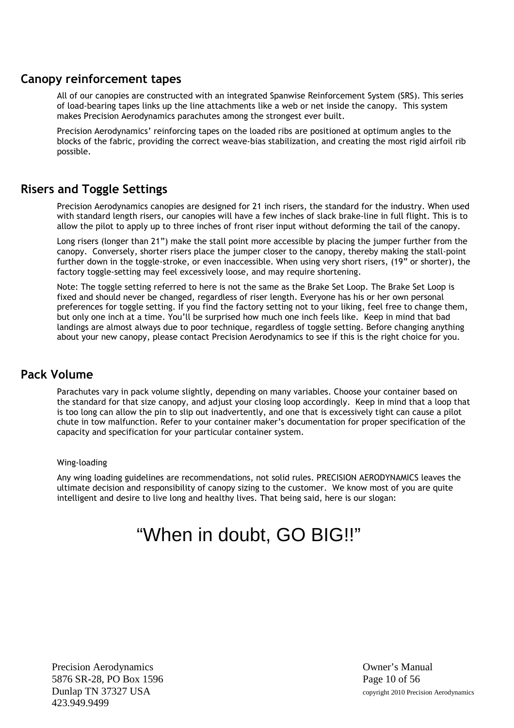#### **Canopy reinforcement tapes**

All of our canopies are constructed with an integrated Spanwise Reinforcement System (SRS). This series of load-bearing tapes links up the line attachments like a web or net inside the canopy. This system makes Precision Aerodynamics parachutes among the strongest ever built.

Precision Aerodynamics' reinforcing tapes on the loaded ribs are positioned at optimum angles to the blocks of the fabric, providing the correct weave-bias stabilization, and creating the most rigid airfoil rib possible.

## **Risers and Toggle Settings**

Precision Aerodynamics canopies are designed for 21 inch risers, the standard for the industry. When used with standard length risers, our canopies will have a few inches of slack brake-line in full flight. This is to allow the pilot to apply up to three inches of front riser input without deforming the tail of the canopy.

Long risers (longer than 21") make the stall point more accessible by placing the jumper further from the canopy. Conversely, shorter risers place the jumper closer to the canopy, thereby making the stall-point further down in the toggle-stroke, or even inaccessible. When using very short risers, (19" or shorter), the factory toggle-setting may feel excessively loose, and may require shortening.

Note: The toggle setting referred to here is not the same as the Brake Set Loop. The Brake Set Loop is fixed and should never be changed, regardless of riser length. Everyone has his or her own personal preferences for toggle setting. If you find the factory setting not to your liking, feel free to change them, but only one inch at a time. You'll be surprised how much one inch feels like. Keep in mind that bad landings are almost always due to poor technique, regardless of toggle setting. Before changing anything about your new canopy, please contact Precision Aerodynamics to see if this is the right choice for you.

#### **Pack Volume**

Parachutes vary in pack volume slightly, depending on many variables. Choose your container based on the standard for that size canopy, and adjust your closing loop accordingly. Keep in mind that a loop that is too long can allow the pin to slip out inadvertently, and one that is excessively tight can cause a pilot chute in tow malfunction. Refer to your container maker's documentation for proper specification of the capacity and specification for your particular container system.

#### Wing-loading

Any wing loading guidelines are recommendations, not solid rules. PRECISION AERODYNAMICS leaves the ultimate decision and responsibility of canopy sizing to the customer. We know most of you are quite intelligent and desire to live long and healthy lives. That being said, here is our slogan:

# "When in doubt, GO BIG!!"

Precision Aerodynamics **Owner's Manual** 5876 SR-28, PO Box 1596 Page 10 of 56 Dunlap TN 37327 USA copyright 2010 Precision Aerodynamics 423.949.9499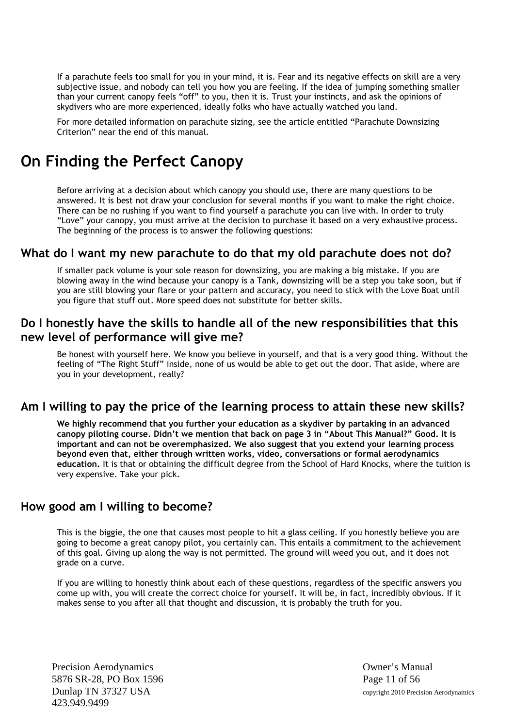If a parachute feels too small for you in your mind, it is. Fear and its negative effects on skill are a very subjective issue, and nobody can tell you how you are feeling. If the idea of jumping something smaller than your current canopy feels "off" to you, then it is. Trust your instincts, and ask the opinions of skydivers who are more experienced, ideally folks who have actually watched you land.

For more detailed information on parachute sizing, see the article entitled "Parachute Downsizing Criterion" near the end of this manual.

# **On Finding the Perfect Canopy**

Before arriving at a decision about which canopy you should use, there are many questions to be answered. It is best not draw your conclusion for several months if you want to make the right choice. There can be no rushing if you want to find yourself a parachute you can live with. In order to truly "Love" your canopy, you must arrive at the decision to purchase it based on a very exhaustive process. The beginning of the process is to answer the following questions:

#### **What do I want my new parachute to do that my old parachute does not do?**

If smaller pack volume is your sole reason for downsizing, you are making a big mistake. If you are blowing away in the wind because your canopy is a Tank, downsizing will be a step you take soon, but if you are still blowing your flare or your pattern and accuracy, you need to stick with the Love Boat until you figure that stuff out. More speed does not substitute for better skills.

#### **Do I honestly have the skills to handle all of the new responsibilities that this new level of performance will give me?**

Be honest with yourself here. We know you believe in yourself, and that is a very good thing. Without the feeling of "The Right Stuff" inside, none of us would be able to get out the door. That aside, where are you in your development, really?

#### **Am I willing to pay the price of the learning process to attain these new skills?**

**We highly recommend that you further your education as a skydiver by partaking in an advanced canopy piloting course. Didn't we mention that back on page 3 in "About This Manual?" Good. It is important and can not be overemphasized. We also suggest that you extend your learning process beyond even that, either through written works, video, conversations or formal aerodynamics education.** It is that or obtaining the difficult degree from the School of Hard Knocks, where the tuition is very expensive. Take your pick.

#### **How good am I willing to become?**

This is the biggie, the one that causes most people to hit a glass ceiling. If you honestly believe you are going to become a great canopy pilot, you certainly can. This entails a commitment to the achievement of this goal. Giving up along the way is not permitted. The ground will weed you out, and it does not grade on a curve.

If you are willing to honestly think about each of these questions, regardless of the specific answers you come up with, you will create the correct choice for yourself. It will be, in fact, incredibly obvious. If it makes sense to you after all that thought and discussion, it is probably the truth for you.

Precision Aerodynamics **Owner's Manual** 5876 SR-28, PO Box 1596 Page 11 of 56 423.949.9499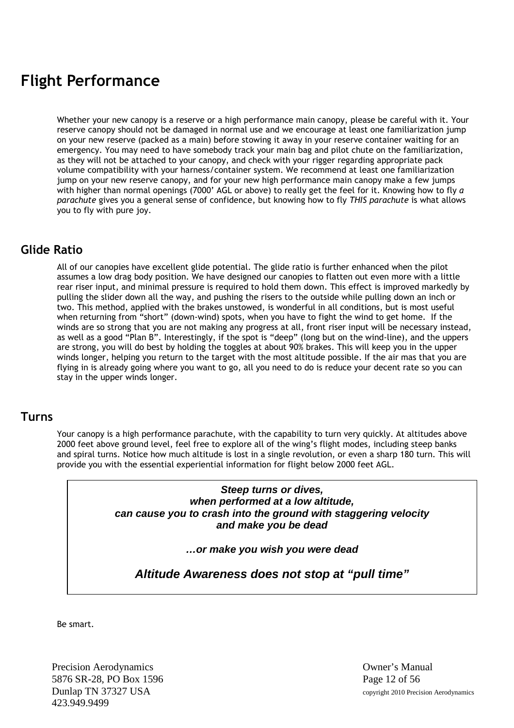# **Flight Performance**

Whether your new canopy is a reserve or a high performance main canopy, please be careful with it. Your reserve canopy should not be damaged in normal use and we encourage at least one familiarization jump on your new reserve (packed as a main) before stowing it away in your reserve container waiting for an emergency. You may need to have somebody track your main bag and pilot chute on the familiarization, as they will not be attached to your canopy, and check with your rigger regarding appropriate pack volume compatibility with your harness/container system. We recommend at least one familiarization jump on your new reserve canopy, and for your new high performance main canopy make a few jumps with higher than normal openings (7000' AGL or above) to really get the feel for it. Knowing how to fly *a parachute* gives you a general sense of confidence, but knowing how to fly *THIS parachute* is what allows you to fly with pure joy.

#### **Glide Ratio**

All of our canopies have excellent glide potential. The glide ratio is further enhanced when the pilot assumes a low drag body position. We have designed our canopies to flatten out even more with a little rear riser input, and minimal pressure is required to hold them down. This effect is improved markedly by pulling the slider down all the way, and pushing the risers to the outside while pulling down an inch or two. This method, applied with the brakes unstowed, is wonderful in all conditions, but is most useful when returning from "short" (down-wind) spots, when you have to fight the wind to get home. If the winds are so strong that you are not making any progress at all, front riser input will be necessary instead, as well as a good "Plan B". Interestingly, if the spot is "deep" (long but on the wind-line), and the uppers are strong, you will do best by holding the toggles at about 90% brakes. This will keep you in the upper winds longer, helping you return to the target with the most altitude possible. If the air mas that you are flying in is already going where you want to go, all you need to do is reduce your decent rate so you can stay in the upper winds longer.

#### **Turns**

Your canopy is a high performance parachute, with the capability to turn very quickly. At altitudes above 2000 feet above ground level, feel free to explore all of the wing's flight modes, including steep banks and spiral turns. Notice how much altitude is lost in a single revolution, or even a sharp 180 turn. This will provide you with the essential experiential information for flight below 2000 feet AGL.

#### *Steep turns or dives, when performed at a low altitude, can cause you to crash into the ground with staggering velocity and make you be dead*

#### *…or make you wish you were dead*

*Altitude Awareness does not stop at "pull time"*

Be smart.

Precision Aerodynamics **Owner's Manual** 5876 SR-28, PO Box 1596 Page 12 of 56 Dunlap TN 37327 USA copyright 2010 Precision Aerodynamics 423.949.9499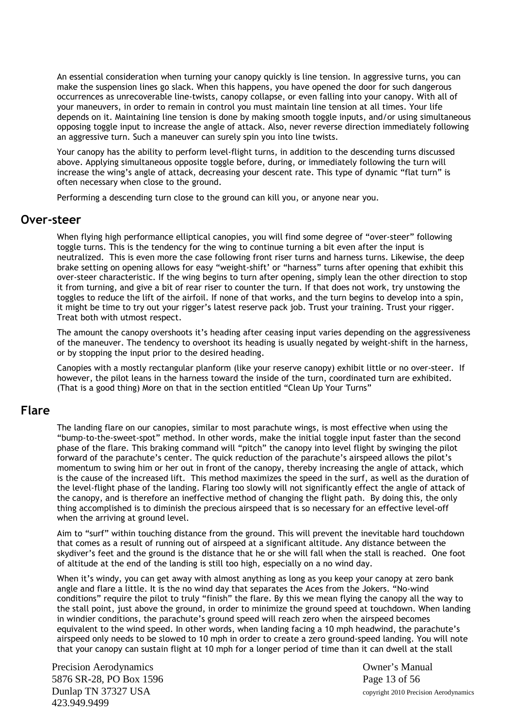An essential consideration when turning your canopy quickly is line tension. In aggressive turns, you can make the suspension lines go slack. When this happens, you have opened the door for such dangerous occurrences as unrecoverable line-twists, canopy collapse, or even falling into your canopy. With all of your maneuvers, in order to remain in control you must maintain line tension at all times. Your life depends on it. Maintaining line tension is done by making smooth toggle inputs, and/or using simultaneous opposing toggle input to increase the angle of attack. Also, never reverse direction immediately following an aggressive turn. Such a maneuver can surely spin you into line twists.

Your canopy has the ability to perform level-flight turns, in addition to the descending turns discussed above. Applying simultaneous opposite toggle before, during, or immediately following the turn will increase the wing's angle of attack, decreasing your descent rate. This type of dynamic "flat turn" is often necessary when close to the ground.

Performing a descending turn close to the ground can kill you, or anyone near you.

#### **Over-steer**

When flying high performance elliptical canopies, you will find some degree of "over-steer" following toggle turns. This is the tendency for the wing to continue turning a bit even after the input is neutralized. This is even more the case following front riser turns and harness turns. Likewise, the deep brake setting on opening allows for easy "weight-shift' or "harness" turns after opening that exhibit this over-steer characteristic. If the wing begins to turn after opening, simply lean the other direction to stop it from turning, and give a bit of rear riser to counter the turn. If that does not work, try unstowing the toggles to reduce the lift of the airfoil. If none of that works, and the turn begins to develop into a spin, it might be time to try out your rigger's latest reserve pack job. Trust your training. Trust your rigger. Treat both with utmost respect.

The amount the canopy overshoots it's heading after ceasing input varies depending on the aggressiveness of the maneuver. The tendency to overshoot its heading is usually negated by weight-shift in the harness, or by stopping the input prior to the desired heading.

Canopies with a mostly rectangular planform (like your reserve canopy) exhibit little or no over-steer. If however, the pilot leans in the harness toward the inside of the turn, coordinated turn are exhibited. (That is a good thing) More on that in the section entitled "Clean Up Your Turns"

#### **Flare**

The landing flare on our canopies, similar to most parachute wings, is most effective when using the "bump-to-the-sweet-spot" method. In other words, make the initial toggle input faster than the second phase of the flare. This braking command will "pitch" the canopy into level flight by swinging the pilot forward of the parachute's center. The quick reduction of the parachute's airspeed allows the pilot's momentum to swing him or her out in front of the canopy, thereby increasing the angle of attack, which is the cause of the increased lift. This method maximizes the speed in the surf, as well as the duration of the level-flight phase of the landing. Flaring too slowly will not significantly effect the angle of attack of the canopy, and is therefore an ineffective method of changing the flight path. By doing this, the only thing accomplished is to diminish the precious airspeed that is so necessary for an effective level-off when the arriving at ground level.

Aim to "surf" within touching distance from the ground. This will prevent the inevitable hard touchdown that comes as a result of running out of airspeed at a significant altitude. Any distance between the skydiver's feet and the ground is the distance that he or she will fall when the stall is reached. One foot of altitude at the end of the landing is still too high, especially on a no wind day.

When it's windy, you can get away with almost anything as long as you keep your canopy at zero bank angle and flare a little. It is the no wind day that separates the Aces from the Jokers. "No-wind conditions" require the pilot to truly "finish" the flare. By this we mean flying the canopy all the way to the stall point, just above the ground, in order to minimize the ground speed at touchdown. When landing in windier conditions, the parachute's ground speed will reach zero when the airspeed becomes equivalent to the wind speed. In other words, when landing facing a 10 mph headwind, the parachute's airspeed only needs to be slowed to 10 mph in order to create a zero ground-speed landing. You will note that your canopy can sustain flight at 10 mph for a longer period of time than it can dwell at the stall

Precision Aerodynamics **Owner's Manual** 5876 SR-28, PO Box 1596 Page 13 of 56 Dunlap TN 37327 USA copyright 2010 Precision Aerodynamics 423.949.9499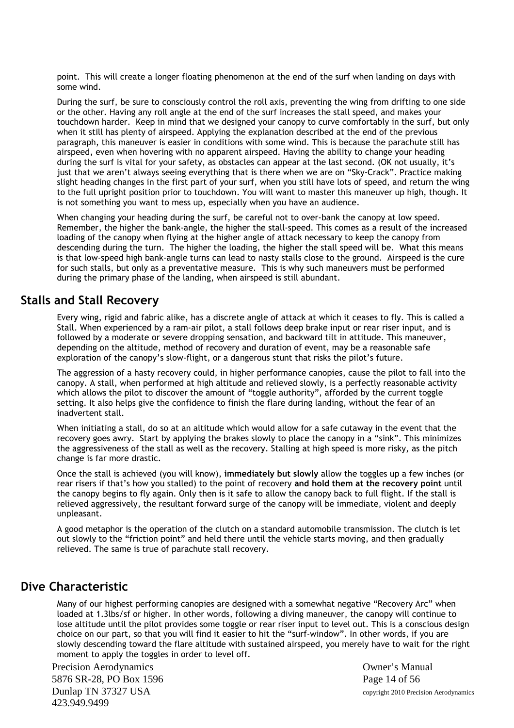point. This will create a longer floating phenomenon at the end of the surf when landing on days with some wind.

During the surf, be sure to consciously control the roll axis, preventing the wing from drifting to one side or the other. Having any roll angle at the end of the surf increases the stall speed, and makes your touchdown harder. Keep in mind that we designed your canopy to curve comfortably in the surf, but only when it still has plenty of airspeed. Applying the explanation described at the end of the previous paragraph, this maneuver is easier in conditions with some wind. This is because the parachute still has airspeed, even when hovering with no apparent airspeed. Having the ability to change your heading during the surf is vital for your safety, as obstacles can appear at the last second. (OK not usually, it's just that we aren't always seeing everything that is there when we are on "Sky-Crack". Practice making slight heading changes in the first part of your surf, when you still have lots of speed, and return the wing to the full upright position prior to touchdown. You will want to master this maneuver up high, though. It is not something you want to mess up, especially when you have an audience.

When changing your heading during the surf, be careful not to over-bank the canopy at low speed. Remember, the higher the bank-angle, the higher the stall-speed. This comes as a result of the increased loading of the canopy when flying at the higher angle of attack necessary to keep the canopy from descending during the turn. The higher the loading, the higher the stall speed will be. What this means is that low-speed high bank-angle turns can lead to nasty stalls close to the ground. Airspeed is the cure for such stalls, but only as a preventative measure. This is why such maneuvers must be performed during the primary phase of the landing, when airspeed is still abundant.

#### **Stalls and Stall Recovery**

Every wing, rigid and fabric alike, has a discrete angle of attack at which it ceases to fly. This is called a Stall. When experienced by a ram-air pilot, a stall follows deep brake input or rear riser input, and is followed by a moderate or severe dropping sensation, and backward tilt in attitude. This maneuver, depending on the altitude, method of recovery and duration of event, may be a reasonable safe exploration of the canopy's slow-flight, or a dangerous stunt that risks the pilot's future.

The aggression of a hasty recovery could, in higher performance canopies, cause the pilot to fall into the canopy. A stall, when performed at high altitude and relieved slowly, is a perfectly reasonable activity which allows the pilot to discover the amount of "toggle authority", afforded by the current toggle setting. It also helps give the confidence to finish the flare during landing, without the fear of an inadvertent stall.

When initiating a stall, do so at an altitude which would allow for a safe cutaway in the event that the recovery goes awry. Start by applying the brakes slowly to place the canopy in a "sink". This minimizes the aggressiveness of the stall as well as the recovery. Stalling at high speed is more risky, as the pitch change is far more drastic.

Once the stall is achieved (you will know), **immediately but slowly** allow the toggles up a few inches (or rear risers if that's how you stalled) to the point of recovery **and hold them at the recovery point** until the canopy begins to fly again. Only then is it safe to allow the canopy back to full flight. If the stall is relieved aggressively, the resultant forward surge of the canopy will be immediate, violent and deeply unpleasant.

A good metaphor is the operation of the clutch on a standard automobile transmission. The clutch is let out slowly to the "friction point" and held there until the vehicle starts moving, and then gradually relieved. The same is true of parachute stall recovery.

#### **Dive Characteristic**

Many of our highest performing canopies are designed with a somewhat negative "Recovery Arc" when loaded at 1.3lbs/sf or higher. In other words, following a diving maneuver, the canopy will continue to lose altitude until the pilot provides some toggle or rear riser input to level out. This is a conscious design choice on our part, so that you will find it easier to hit the "surf-window". In other words, if you are slowly descending toward the flare altitude with sustained airspeed, you merely have to wait for the right moment to apply the toggles in order to level off.

Precision Aerodynamics Owner's Manual 5876 SR-28, PO Box 1596 Page 14 of 56 Dunlap TN 37327 USA copyright 2010 Precision Aerodynamics 423.949.9499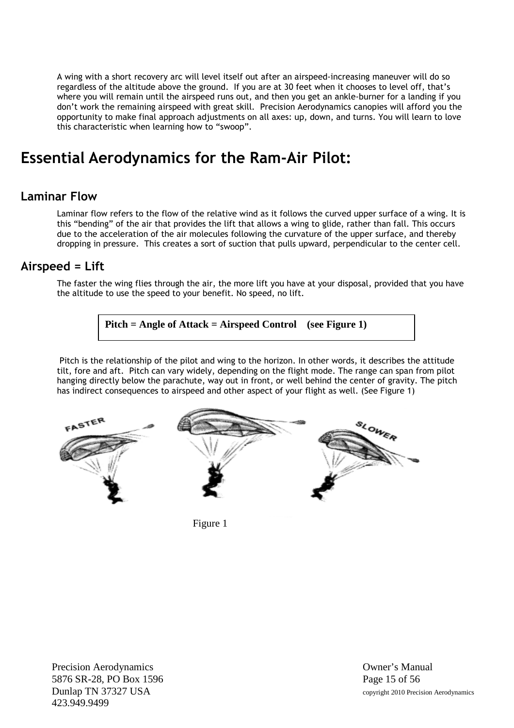A wing with a short recovery arc will level itself out after an airspeed-increasing maneuver will do so regardless of the altitude above the ground. If you are at 30 feet when it chooses to level off, that's where you will remain until the airspeed runs out, and then you get an ankle-burner for a landing if you don't work the remaining airspeed with great skill. Precision Aerodynamics canopies will afford you the opportunity to make final approach adjustments on all axes: up, down, and turns. You will learn to love this characteristic when learning how to "swoop".

# **Essential Aerodynamics for the Ram-Air Pilot:**

#### **Laminar Flow**

Laminar flow refers to the flow of the relative wind as it follows the curved upper surface of a wing. It is this "bending" of the air that provides the lift that allows a wing to glide, rather than fall. This occurs due to the acceleration of the air molecules following the curvature of the upper surface, and thereby dropping in pressure. This creates a sort of suction that pulls upward, perpendicular to the center cell.

#### **Airspeed = Lift**

The faster the wing flies through the air, the more lift you have at your disposal, provided that you have the altitude to use the speed to your benefit. No speed, no lift.

**Pitch = Angle of Attack = Airspeed Control (see Figure 1)**

Pitch is the relationship of the pilot and wing to the horizon. In other words, it describes the attitude tilt, fore and aft. Pitch can vary widely, depending on the flight mode. The range can span from pilot hanging directly below the parachute, way out in front, or well behind the center of gravity. The pitch has indirect consequences to airspeed and other aspect of your flight as well. (See Figure 1)



Figure 1

Precision Aerodynamics **Owner's Manual** 5876 SR-28, PO Box 1596 Page 15 of 56 Dunlap TN 37327 USA copyright 2010 Precision Aerodynamics 423.949.9499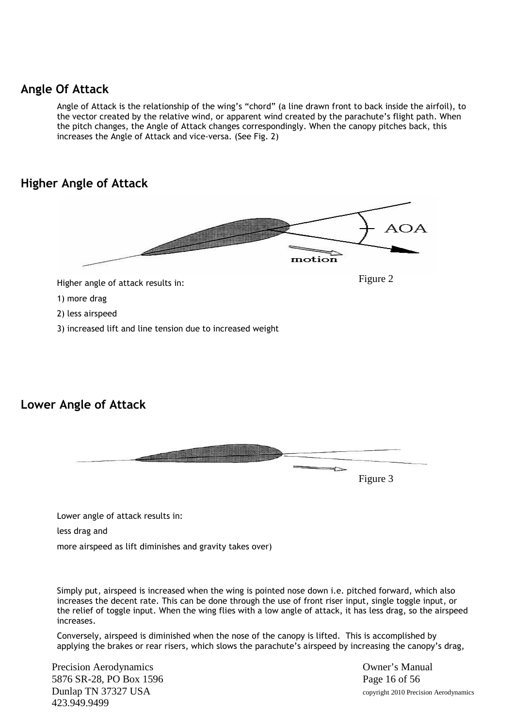## **Angle Of Attack**

Angle of Attack is the relationship of the wing's "chord" (a line drawn front to back inside the airfoil), to the vector created by the relative wind, or apparent wind created by the parachute's flight path. When the pitch changes, the Angle of Attack changes correspondingly. When the canopy pitches back, this increases the Angle of Attack and vice-versa. (See Fig. 2)

# **Higher Angle of Attack**



# **Lower Angle of Attack**



Lower angle of attack results in:

less drag and

more airspeed as lift diminishes and gravity takes over)

Simply put, airspeed is increased when the wing is pointed nose down i.e. pitched forward, which also increases the decent rate. This can be done through the use of front riser input, single toggle input, or the relief of toggle input. When the wing flies with a low angle of attack, it has less drag, so the airspeed increases.

Conversely, airspeed is diminished when the nose of the canopy is lifted. This is accomplished by applying the brakes or rear risers, which slows the parachute's airspeed by increasing the canopy's drag,

Precision Aerodynamics **Owner's Manual** 5876 SR-28, PO Box 1596 Page 16 of 56 Dunlap TN 37327 USA copyright 2010 Precision Aerodynamics 423.949.9499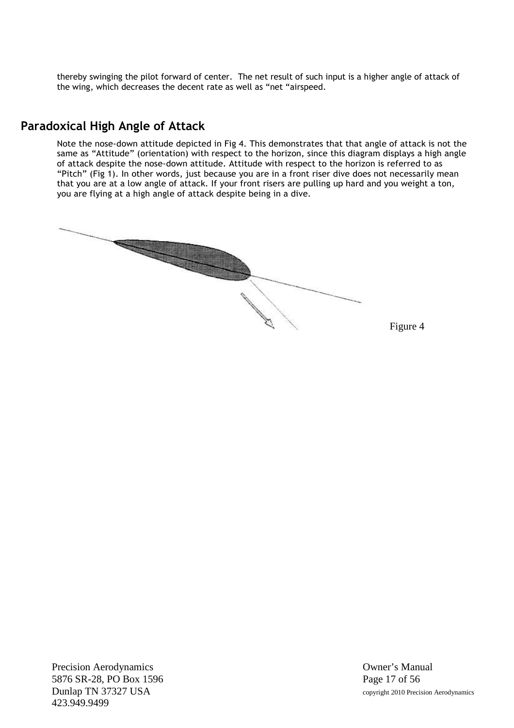thereby swinging the pilot forward of center. The net result of such input is a higher angle of attack of the wing, which decreases the decent rate as well as "net "airspeed.

## **Paradoxical High Angle of Attack**

Note the nose-down attitude depicted in Fig 4. This demonstrates that that angle of attack is not the same as "Attitude" (orientation) with respect to the horizon, since this diagram displays a high angle of attack despite the nose-down attitude. Attitude with respect to the horizon is referred to as "Pitch" (Fig 1). In other words, just because you are in a front riser dive does not necessarily mean that you are at a low angle of attack. If your front risers are pulling up hard and you weight a ton, you are flying at a high angle of attack despite being in a dive.



Figure 4

Precision Aerodynamics **Owner's Manual** 5876 SR-28, PO Box 1596 Page 17 of 56 Dunlap TN 37327 USA copyright 2010 Precision Aerodynamics 423.949.9499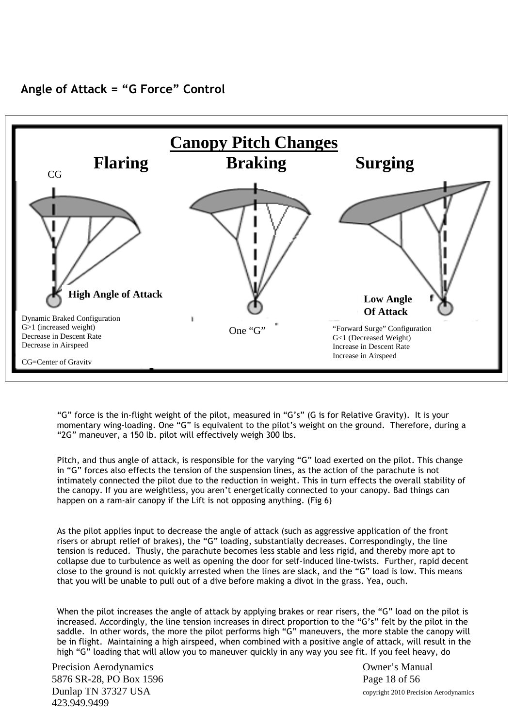



"G" force is the in-flight weight of the pilot, measured in "G's" (G is for Relative Gravity). It is your momentary wing-loading. One "G" is equivalent to the pilot's weight on the ground. Therefore, during a "2G" maneuver, a 150 lb. pilot will effectively weigh 300 lbs.

Pitch, and thus angle of attack, is responsible for the varying "G" load exerted on the pilot. This change in "G" forces also effects the tension of the suspension lines, as the action of the parachute is not intimately connected the pilot due to the reduction in weight. This in turn effects the overall stability of the canopy. If you are weightless, you aren't energetically connected to your canopy. Bad things can happen on a ram-air canopy if the Lift is not opposing anything. (Fig 6)

As the pilot applies input to decrease the angle of attack (such as aggressive application of the front risers or abrupt relief of brakes), the "G" loading, substantially decreases. Correspondingly, the line tension is reduced. Thusly, the parachute becomes less stable and less rigid, and thereby more apt to collapse due to turbulence as well as opening the door for self-induced line-twists. Further, rapid decent close to the ground is not quickly arrested when the lines are slack, and the "G" load is low. This means that you will be unable to pull out of a dive before making a divot in the grass. Yea, ouch.

When the pilot increases the angle of attack by applying brakes or rear risers, the "G" load on the pilot is increased. Accordingly, the line tension increases in direct proportion to the "G's" felt by the pilot in the saddle. In other words, the more the pilot performs high "G" maneuvers, the more stable the canopy will be in flight. Maintaining a high airspeed, when combined with a positive angle of attack, will result in the high "G" loading that will allow you to maneuver quickly in any way you see fit. If you feel heavy, do

Precision Aerodynamics **Owner's Manual** 5876 SR-28, PO Box 1596 Page 18 of 56 Dunlap TN 37327 USA copyright 2010 Precision Aerodynamics 423.949.9499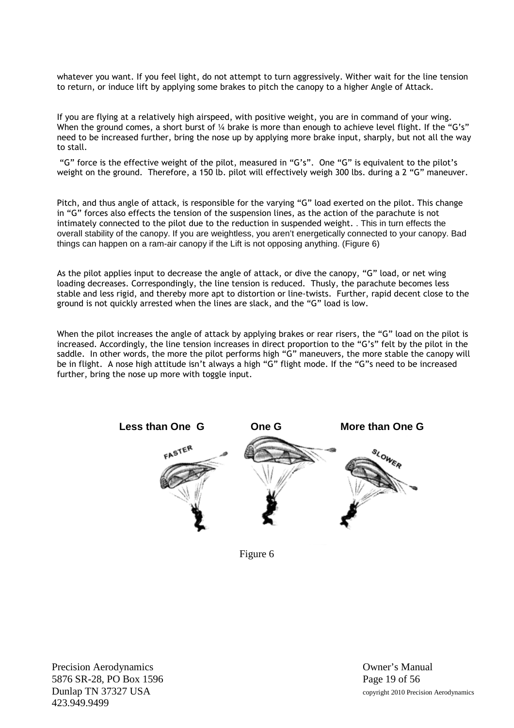whatever you want. If you feel light, do not attempt to turn aggressively. Wither wait for the line tension to return, or induce lift by applying some brakes to pitch the canopy to a higher Angle of Attack.

If you are flying at a relatively high airspeed, with positive weight, you are in command of your wing. When the ground comes, a short burst of 1/4 brake is more than enough to achieve level flight. If the "G's" need to be increased further, bring the nose up by applying more brake input, sharply, but not all the way to stall.

"G" force is the effective weight of the pilot, measured in "G's". One "G" is equivalent to the pilot's weight on the ground. Therefore, a 150 lb. pilot will effectively weigh 300 lbs. during a 2 "G" maneuver.

Pitch, and thus angle of attack, is responsible for the varying "G" load exerted on the pilot. This change in "G" forces also effects the tension of the suspension lines, as the action of the parachute is not intimately connected to the pilot due to the reduction in suspended weight. . This in turn effects the overall stability of the canopy. If you are weightless, you aren't energetically connected to your canopy. Bad things can happen on a ram-air canopy if the Lift is not opposing anything. (Figure 6)

As the pilot applies input to decrease the angle of attack, or dive the canopy, "G" load, or net wing loading decreases. Correspondingly, the line tension is reduced. Thusly, the parachute becomes less stable and less rigid, and thereby more apt to distortion or line-twists. Further, rapid decent close to the ground is not quickly arrested when the lines are slack, and the "G" load is low.

When the pilot increases the angle of attack by applying brakes or rear risers, the "G" load on the pilot is increased. Accordingly, the line tension increases in direct proportion to the "G's" felt by the pilot in the saddle. In other words, the more the pilot performs high "G" maneuvers, the more stable the canopy will be in flight. A nose high attitude isn't always a high "G" flight mode. If the "G"s need to be increased further, bring the nose up more with toggle input.



Figure 6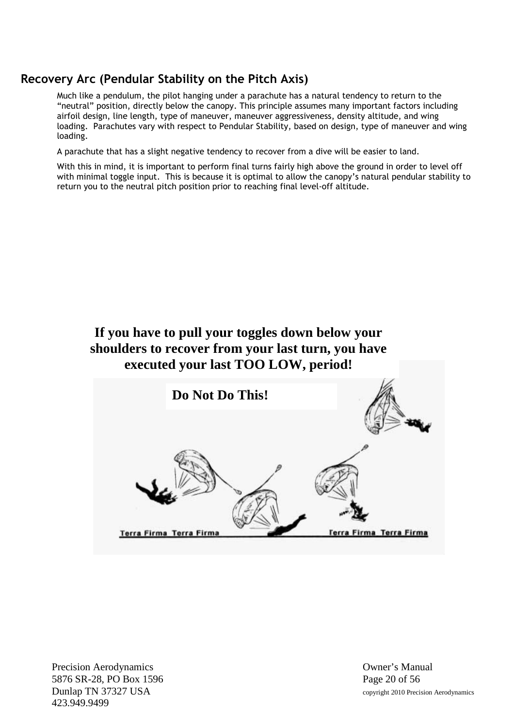# **Recovery Arc (Pendular Stability on the Pitch Axis)**

Much like a pendulum, the pilot hanging under a parachute has a natural tendency to return to the "neutral" position, directly below the canopy. This principle assumes many important factors including airfoil design, line length, type of maneuver, maneuver aggressiveness, density altitude, and wing loading. Parachutes vary with respect to Pendular Stability, based on design, type of maneuver and wing loading.

A parachute that has a slight negative tendency to recover from a dive will be easier to land.

With this in mind, it is important to perform final turns fairly high above the ground in order to level off with minimal toggle input. This is because it is optimal to allow the canopy's natural pendular stability to return you to the neutral pitch position prior to reaching final level-off altitude.

# **If you have to pull your toggles down below your shoulders to recover from your last turn, you have executed your last TOO LOW, period!**

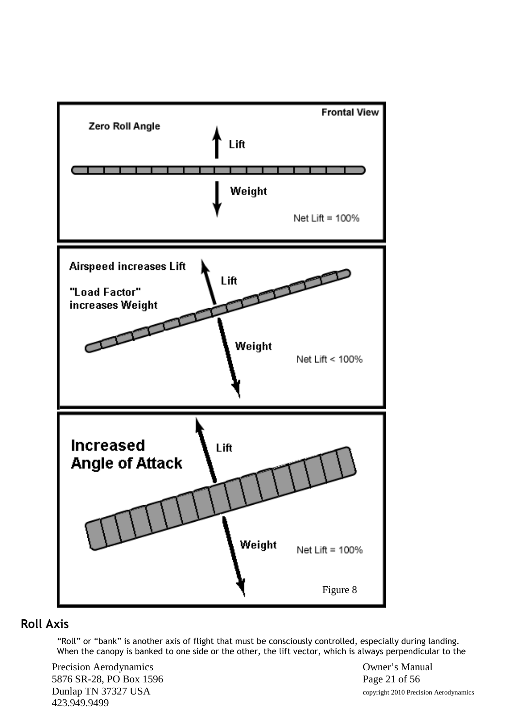

# **Roll Axis**

"Roll" or "bank" is another axis of flight that must be consciously controlled, especially during landing. When the canopy is banked to one side or the other, the lift vector, which is always perpendicular to the

Precision Aerodynamics **Owner's Manual** 5876 SR-28, PO Box 1596 Page 21 of 56 Dunlap TN 37327 USA copyright 2010 Precision Aerodynamics 423.949.9499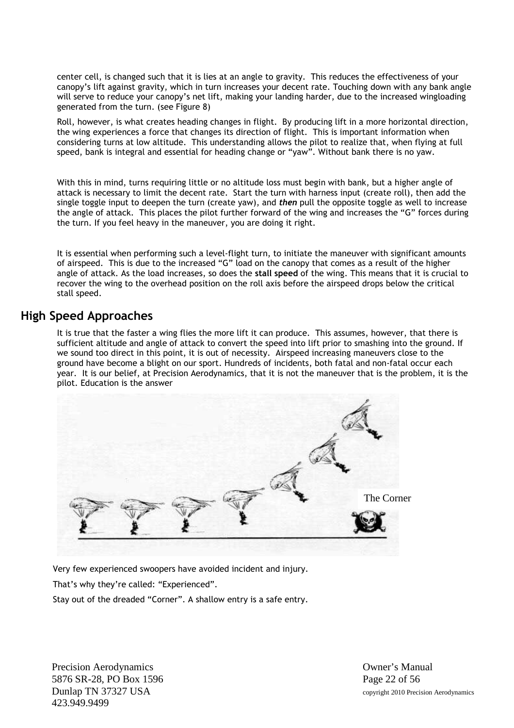center cell, is changed such that it is lies at an angle to gravity. This reduces the effectiveness of your canopy's lift against gravity, which in turn increases your decent rate. Touching down with any bank angle will serve to reduce your canopy's net lift, making your landing harder, due to the increased wingloading generated from the turn. (see Figure 8)

Roll, however, is what creates heading changes in flight. By producing lift in a more horizontal direction, the wing experiences a force that changes its direction of flight. This is important information when considering turns at low altitude. This understanding allows the pilot to realize that, when flying at full speed, bank is integral and essential for heading change or "yaw". Without bank there is no yaw.

With this in mind, turns requiring little or no altitude loss must begin with bank, but a higher angle of attack is necessary to limit the decent rate. Start the turn with harness input (create roll), then add the single toggle input to deepen the turn (create yaw), and *then* pull the opposite toggle as well to increase the angle of attack. This places the pilot further forward of the wing and increases the "G" forces during the turn. If you feel heavy in the maneuver, you are doing it right.

It is essential when performing such a level-flight turn, to initiate the maneuver with significant amounts of airspeed. This is due to the increased "G" load on the canopy that comes as a result of the higher angle of attack. As the load increases, so does the **stall speed** of the wing. This means that it is crucial to recover the wing to the overhead position on the roll axis before the airspeed drops below the critical stall speed.

#### **High Speed Approaches**

It is true that the faster a wing flies the more lift it can produce. This assumes, however, that there is sufficient altitude and angle of attack to convert the speed into lift prior to smashing into the ground. If we sound too direct in this point, it is out of necessity. Airspeed increasing maneuvers close to the ground have become a blight on our sport. Hundreds of incidents, both fatal and non-fatal occur each year. It is our belief, at Precision Aerodynamics, that it is not the maneuver that is the problem, it is the pilot. Education is the answer



Very few experienced swoopers have avoided incident and injury.

That's why they're called: "Experienced".

Stay out of the dreaded "Corner". A shallow entry is a safe entry.

Precision Aerodynamics **Owner's Manual** 5876 SR-28, PO Box 1596 Page 22 of 56 423.949.9499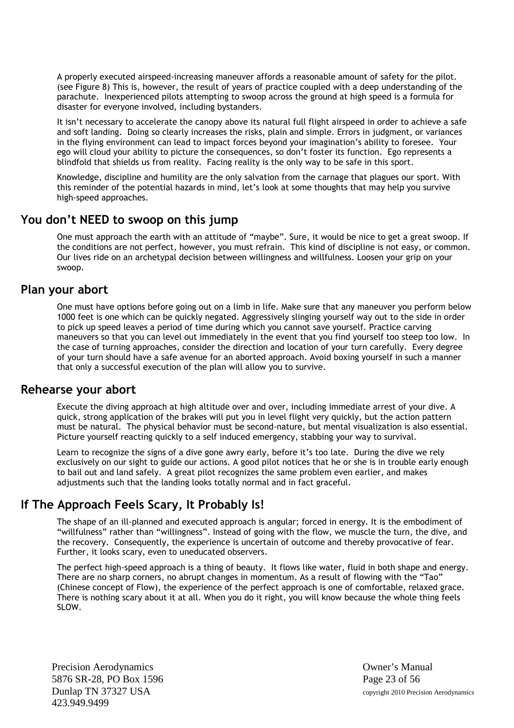A properly executed airspeed-increasing maneuver affords a reasonable amount of safety for the pilot. (see Figure 8) This is, however, the result of years of practice coupled with a deep understanding of the parachute. Inexperienced pilots attempting to swoop across the ground at high speed is a formula for disaster for everyone involved, including bystanders.

It isn't necessary to accelerate the canopy above its natural full flight airspeed in order to achieve a safe and soft landing. Doing so clearly increases the risks, plain and simple. Errors in judgment, or variances in the flying environment can lead to impact forces beyond your imagination's ability to foresee. Your ego will cloud your ability to picture the consequences, so don't foster its function. Ego represents a blindfold that shields us from reality. Facing reality is the only way to be safe in this sport.

Knowledge, discipline and humility are the only salvation from the carnage that plagues our sport. With this reminder of the potential hazards in mind, let's look at some thoughts that may help you survive high-speed approaches.

#### **You don't NEED to swoop on this jump**

One must approach the earth with an attitude of "maybe". Sure, it would be nice to get a great swoop. If the conditions are not perfect, however, you must refrain. This kind of discipline is not easy, or common. Our lives ride on an archetypal decision between willingness and willfulness. Loosen your grip on your swoop.

#### **Plan your abort**

One must have options before going out on a limb in life. Make sure that any maneuver you perform below 1000 feet is one which can be quickly negated. Aggressively slinging yourself way out to the side in order to pick up speed leaves a period of time during which you cannot save yourself. Practice carving maneuvers so that you can level out immediately in the event that you find yourself too steep too low. In the case of turning approaches, consider the direction and location of your turn carefully. Every degree of your turn should have a safe avenue for an aborted approach. Avoid boxing yourself in such a manner that only a successful execution of the plan will allow you to survive.

#### **Rehearse your abort**

Execute the diving approach at high altitude over and over, including immediate arrest of your dive. A quick, strong application of the brakes will put you in level flight very quickly, but the action pattern must be natural. The physical behavior must be second-nature, but mental visualization is also essential. Picture yourself reacting quickly to a self induced emergency, stabbing your way to survival.

Learn to recognize the signs of a dive gone awry early, before it's too late. During the dive we rely exclusively on our sight to guide our actions. A good pilot notices that he or she is in trouble early enough to bail out and land safely. A great pilot recognizes the same problem even earlier, and makes adjustments such that the landing looks totally normal and in fact graceful.

# **If The Approach Feels Scary, It Probably Is!**

The shape of an ill-planned and executed approach is angular; forced in energy. It is the embodiment of "willfulness" rather than "willingness". Instead of going with the flow, we muscle the turn, the dive, and the recovery. Consequently, the experience is uncertain of outcome and thereby provocative of fear. Further, it looks scary, even to uneducated observers.

The perfect high-speed approach is a thing of beauty. It flows like water, fluid in both shape and energy. There are no sharp corners, no abrupt changes in momentum. As a result of flowing with the "Tao" (Chinese concept of Flow), the experience of the perfect approach is one of comfortable, relaxed grace. There is nothing scary about it at all. When you do it right, you will know because the whole thing feels SLOW.

Precision Aerodynamics **Owner's Manual** 5876 SR-28, PO Box 1596 Page 23 of 56 423.949.9499

Dunlap TN 37327 USA copyright 2010 Precision Aerodynamics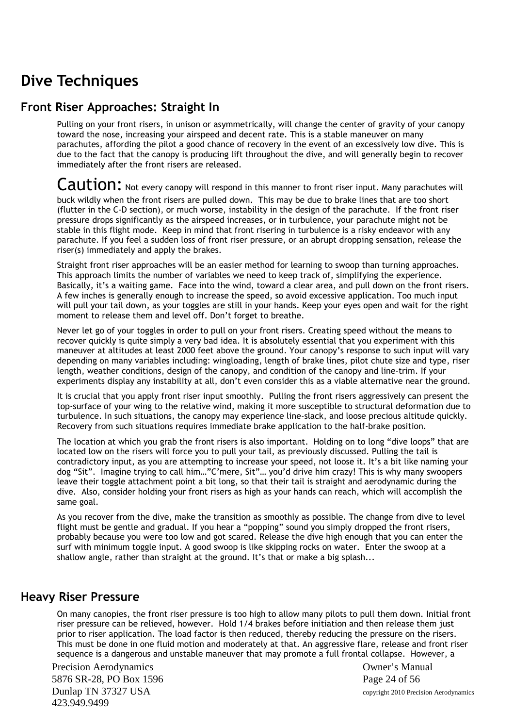# **Dive Techniques**

## **Front Riser Approaches: Straight In**

Pulling on your front risers, in unison or asymmetrically, will change the center of gravity of your canopy toward the nose, increasing your airspeed and decent rate. This is a stable maneuver on many parachutes, affording the pilot a good chance of recovery in the event of an excessively low dive. This is due to the fact that the canopy is producing lift throughout the dive, and will generally begin to recover immediately after the front risers are released.

#### Caution: Not every canopy will respond in this manner to front riser input. Many parachutes will buck wildly when the front risers are pulled down. This may be due to brake lines that are too short (flutter in the C-D section), or much worse, instability in the design of the parachute. If the front riser pressure drops significantly as the airspeed increases, or in turbulence, your parachute might not be stable in this flight mode. Keep in mind that front risering in turbulence is a risky endeavor with any parachute. If you feel a sudden loss of front riser pressure, or an abrupt dropping sensation, release the riser(s) immediately and apply the brakes.

Straight front riser approaches will be an easier method for learning to swoop than turning approaches. This approach limits the number of variables we need to keep track of, simplifying the experience. Basically, it's a waiting game. Face into the wind, toward a clear area, and pull down on the front risers. A few inches is generally enough to increase the speed, so avoid excessive application. Too much input will pull your tail down, as your toggles are still in your hands. Keep your eyes open and wait for the right moment to release them and level off. Don't forget to breathe.

Never let go of your toggles in order to pull on your front risers. Creating speed without the means to recover quickly is quite simply a very bad idea. It is absolutely essential that you experiment with this maneuver at altitudes at least 2000 feet above the ground. Your canopy's response to such input will vary depending on many variables including: wingloading, length of brake lines, pilot chute size and type, riser length, weather conditions, design of the canopy, and condition of the canopy and line-trim. If your experiments display any instability at all, don't even consider this as a viable alternative near the ground.

It is crucial that you apply front riser input smoothly. Pulling the front risers aggressively can present the top-surface of your wing to the relative wind, making it more susceptible to structural deformation due to turbulence. In such situations, the canopy may experience line-slack, and loose precious altitude quickly. Recovery from such situations requires immediate brake application to the half-brake position.

The location at which you grab the front risers is also important. Holding on to long "dive loops" that are located low on the risers will force you to pull your tail, as previously discussed. Pulling the tail is contradictory input, as you are attempting to increase your speed, not loose it. It's a bit like naming your dog "Sit". Imagine trying to call him…"C'mere, Sit"… you'd drive him crazy! This is why many swoopers leave their toggle attachment point a bit long, so that their tail is straight and aerodynamic during the dive. Also, consider holding your front risers as high as your hands can reach, which will accomplish the same goal.

As you recover from the dive, make the transition as smoothly as possible. The change from dive to level flight must be gentle and gradual. If you hear a "popping" sound you simply dropped the front risers, probably because you were too low and got scared. Release the dive high enough that you can enter the surf with minimum toggle input. A good swoop is like skipping rocks on water. Enter the swoop at a shallow angle, rather than straight at the ground. It's that or make a big splash...

#### **Heavy Riser Pressure**

On many canopies, the front riser pressure is too high to allow many pilots to pull them down. Initial front riser pressure can be relieved, however. Hold 1/4 brakes before initiation and then release them just prior to riser application. The load factor is then reduced, thereby reducing the pressure on the risers. This must be done in one fluid motion and moderately at that. An aggressive flare, release and front riser sequence is a dangerous and unstable maneuver that may promote a full frontal collapse. However, a

Precision Aerodynamics **Owner's Manual** 5876 SR-28, PO Box 1596 Page 24 of 56 Dunlap TN 37327 USA copyright 2010 Precision Aerodynamics 423.949.9499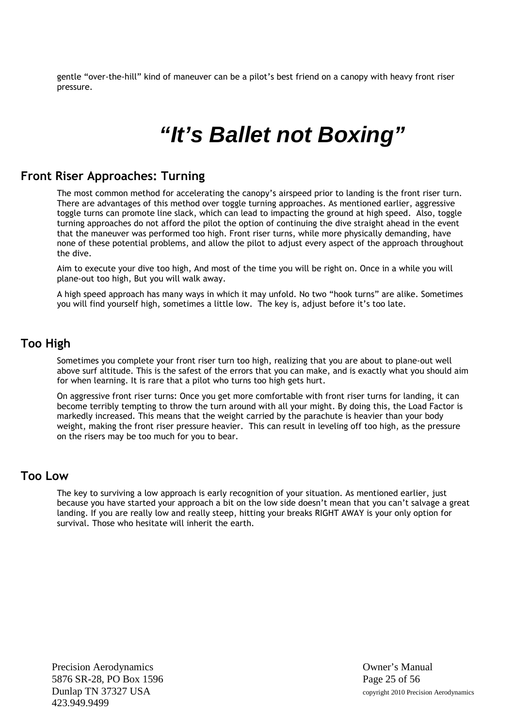gentle "over-the-hill" kind of maneuver can be a pilot's best friend on a canopy with heavy front riser pressure.

# *"It's Ballet not Boxing"*

#### **Front Riser Approaches: Turning**

The most common method for accelerating the canopy's airspeed prior to landing is the front riser turn. There are advantages of this method over toggle turning approaches. As mentioned earlier, aggressive toggle turns can promote line slack, which can lead to impacting the ground at high speed. Also, toggle turning approaches do not afford the pilot the option of continuing the dive straight ahead in the event that the maneuver was performed too high. Front riser turns, while more physically demanding, have none of these potential problems, and allow the pilot to adjust every aspect of the approach throughout the dive.

Aim to execute your dive too high, And most of the time you will be right on. Once in a while you will plane-out too high, But you will walk away.

A high speed approach has many ways in which it may unfold. No two "hook turns" are alike. Sometimes you will find yourself high, sometimes a little low. The key is, adjust before it's too late.

#### **Too High**

Sometimes you complete your front riser turn too high, realizing that you are about to plane-out well above surf altitude. This is the safest of the errors that you can make, and is exactly what you should aim for when learning. It is rare that a pilot who turns too high gets hurt.

On aggressive front riser turns: Once you get more comfortable with front riser turns for landing, it can become terribly tempting to throw the turn around with all your might. By doing this, the Load Factor is markedly increased. This means that the weight carried by the parachute is heavier than your body weight, making the front riser pressure heavier. This can result in leveling off too high, as the pressure on the risers may be too much for you to bear.

#### **Too Low**

The key to surviving a low approach is early recognition of your situation. As mentioned earlier, just because you have started your approach a bit on the low side doesn't mean that you can't salvage a great landing. If you are really low and really steep, hitting your breaks RIGHT AWAY is your only option for survival. Those who hesitate will inherit the earth.

Precision Aerodynamics **Owner's Manual** 5876 SR-28, PO Box 1596 Page 25 of 56 Dunlap TN 37327 USA copyright 2010 Precision Aerodynamics 423.949.9499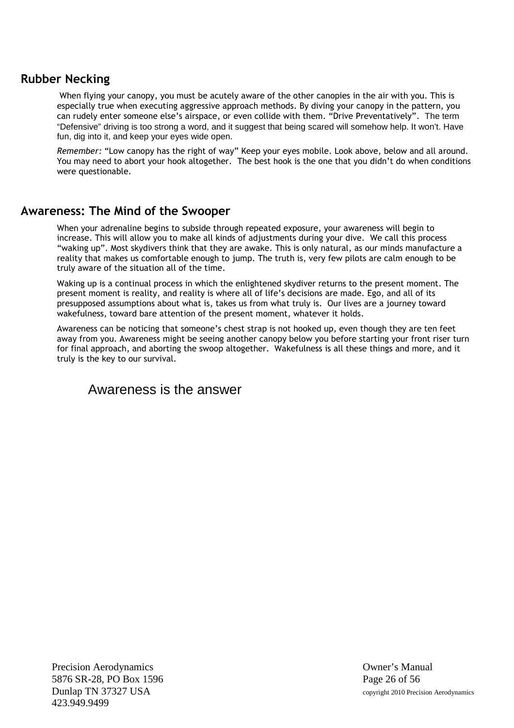### **Rubber Necking**

When flying your canopy, you must be acutely aware of the other canopies in the air with you. This is especially true when executing aggressive approach methods. By diving your canopy in the pattern, you can rudely enter someone else's airspace, or even collide with them. "Drive Preventatively". The term "Defensive" driving is too strong a word, and it suggest that being scared will somehow help. It won't. Have fun, dig into it, and keep your eyes wide open.

*Remember:* "Low canopy has the right of way" Keep your eyes mobile. Look above, below and all around. You may need to abort your hook altogether. The best hook is the one that you didn't do when conditions were questionable.

#### **Awareness: The Mind of the Swooper**

When your adrenaline begins to subside through repeated exposure, your awareness will begin to increase. This will allow you to make all kinds of adjustments during your dive. We call this process "waking up". Most skydivers think that they are awake. This is only natural, as our minds manufacture a reality that makes us comfortable enough to jump. The truth is, very few pilots are calm enough to be truly aware of the situation all of the time.

Waking up is a continual process in which the enlightened skydiver returns to the present moment. The present moment is reality, and reality is where all of life's decisions are made. Ego, and all of its presupposed assumptions about what is, takes us from what truly is. Our lives are a journey toward wakefulness, toward bare attention of the present moment, whatever it holds.

Awareness can be noticing that someone's chest strap is not hooked up, even though they are ten feet away from you. Awareness might be seeing another canopy below you before starting your front riser turn for final approach, and aborting the swoop altogether. Wakefulness is all these things and more, and it truly is the key to our survival.

# Awareness is the answer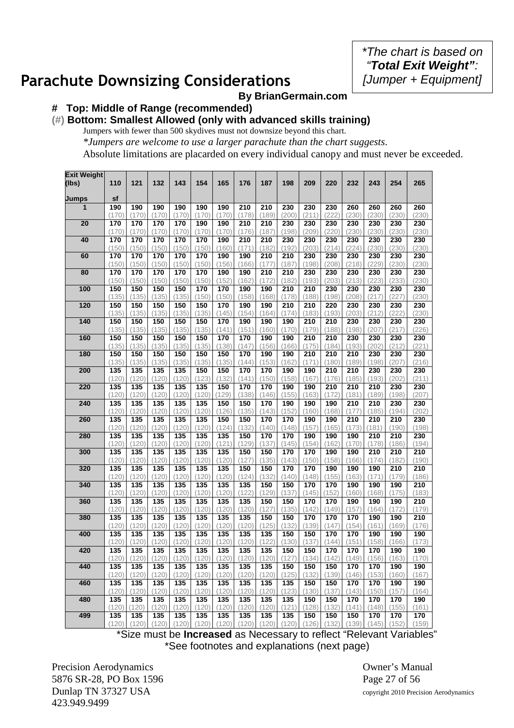*\*The chart is based on "Total Exit Weight": [Jumper + Equipment]*

# **Parachute Downsizing Considerations**

#### **By BrianGermain.com**

#### **# Top: Middle of Range (recommended)**

# **(#) Bottom: Smallest Allowed (only with advanced skills training)**

Jumpers with fewer than 500 skydives must not downsize beyond this chart. *\*Jumpers are welcome to use a larger parachute than the chart suggests*. Absolute limitations are placarded on every individual canopy and must never be exceeded.

| <b>Exit Weight</b> |              |              |              |              |              |              |              |              |              |                           |                           |              |              |              |              |
|--------------------|--------------|--------------|--------------|--------------|--------------|--------------|--------------|--------------|--------------|---------------------------|---------------------------|--------------|--------------|--------------|--------------|
| (Ibs)              | 110          | 121          | 132          | 143          | 154          | 165          | 176          | 187          | 198          | 209                       | 220                       | 232          | 243          | 254          | 265          |
|                    |              |              |              |              |              |              |              |              |              |                           |                           |              |              |              |              |
| Jumps              | sf           |              |              |              |              |              |              |              |              |                           |                           |              |              |              |              |
| $\mathbf{1}$       | 190          | 190          | 190          | 190          | 190          | 190          | 210          | 210          | 230          | 230                       | 230                       | 260          | 260          | 260          | 260          |
|                    | (170         | (170)        | (170)        | (170)        | (170)        | (170)        | (178)        | (189)        | (200)        | (211)                     | (222)                     | (230)        | (230)        | (230)        | (230)        |
| 20                 | 170          | 170          | 170          | 170          | 190          | 190          | 210          | 210          | 230          | 230                       | 230                       | 230          | 230          | 230          | 230          |
|                    | (170)        | (170)        | (170)        | (170)        | (170)        | (170)        | (176)        | (187)        | (198)        | (209)                     | (220)                     | (230)        | (230)        | (230)        | (230)        |
| 40                 | 170<br>(150) | 170<br>(150) | 170<br>(150) | 170<br>(150) | 170<br>(150) | 190<br>(160) | 210<br>(171) | 210<br>(182) | 230<br>(192) | 230<br>(203)              | 230<br>(214)              | 230<br>(224) | 230<br>(230) | 230<br>(230) | 230<br>(230) |
| 60                 | 170          | 170          | 170          | 170          | 170          | 190          | 190          | 210          | 210          | 230                       | 230                       | 230          | 230          | 230          | 230          |
|                    | (150)        | (150)        | (150)        | (150)        | (150)        | (156)        | (166)        | (177)        | (187)        | (198)                     | (208)                     | (218)        | (229)        | (230)        | (230)        |
| 80                 | 170          | 170          | 170          | 170          | 170          | 190          | 190          | 210          | 210          | 230                       | 230                       | 230          | 230          | 230          | 230          |
|                    | (150)        | (150)        | (150)        | (150)        | (150)        | (152)        | (162)        | (172)        | (182)        | (193)                     | (203)                     | (213)        | (223)        | (233)        | (230)        |
| 100                | 150          | 150          | 150          | 150          | 170          | 170          | 190          | 190          | 210          | 210                       | 230                       | 230          | 230          | 230          | 230          |
|                    | (135)        | (135)        | (135)        | (135)        | (150)        | (150)        | (158)        | (168)        | (178)        | (188)                     | (198)                     | (208)        | (217)        | (227         | (230)        |
| 120                | 150          | 150          | 150          | 150          | 150          | 170          | 190          | 190          | 210          | 210                       | 220                       | 230          | 230          | 230          | 230          |
|                    | (135)        | (135)        | (135)        | (135)        | (135)        | (145)        | (154)        | (164)        | (174)        | (183)                     | (193)                     | (203)        | (212)        | 222          | (230)        |
| 140                | 150          | 150          | 150          | 150          | 150          | 170          | 190          | 190          | 190          | 210                       | 210                       | 230          | 230          | 230          | 230          |
| 160                | (135)<br>150 | (135)<br>150 | (135)<br>150 | (135)<br>150 | (135)<br>150 | (141)<br>170 | (151)<br>170 | (160)<br>190 | (170)<br>190 | (179)<br>$\overline{210}$ | (188)<br>$\overline{210}$ | (198)<br>230 | (207)<br>230 | (217<br>230  | (226)<br>230 |
|                    | (135)        | (135)        | (135)        | (135)        | (135)        | (138)        | (147)        | (156)        | (166)        | (175)                     | (184)                     | (193)        | (202)        | (212)        | (221)        |
| 180                | 150          | 150          | 150          | 150          | 150          | 150          | 170          | 190          | 190          | $\overline{210}$          | $\overline{210}$          | 210          | 230          | 230          | 230          |
|                    | (135)        | (135)        | (135)        | (135)        | (135)        | (135)        | (144)        | (153)        | (162)        | (171)                     | (180)                     | (189)        | (198)        | (207)        | (216)        |
| 200                | 135          | 135          | 135          | 135          | 150          | 150          | 170          | 170          | 190          | 190                       | 210                       | 210          | 230          | 230          | 230          |
|                    | (120)        | (120)        | (120)        | (120)        | (123)        | (132)        | (141)        | (150)        | (158)        | (167)                     | (176)                     | (185)        | (193)        | (202)        | (211)        |
| 220                | 135          | 135          | 135          | 135          | 135          | 150          | 170          | 170          | 190          | 190                       | 210                       | 210          | 210          | 230          | 230          |
|                    | (120)        | (120)        | (120)        | (120)        | (120)        | (129)        | (138)        | (146)        | (155)        | (163)                     | (172                      | (181)        | (189)        | (198)        | (207)        |
| 240                | 135          | 135          | 135          | 135          | 135          | 150          | 150          | 170          | 190          | 190                       | 190                       | 210          | 210          | 230          | 230          |
|                    | (120)        | (120)        | (120)        | (120)        | (120         | (126)        | (135)        | (143)        | (152)        | (160)                     | (168)                     | (177)        | (185)        | (194)        | (202)        |
| 260                | 135<br>(120) | 135<br>(120) | 135<br>(120) | 135<br>(120) | 135<br>(120) | 150<br>(124) | 150<br>(132) | 170<br>(140) | 170<br>(148) | 190<br>(157)              | 190<br>(165)              | 210<br>(173) | 210<br>(181) | 210<br>(190) | 230<br>(198) |
| 280                | 135          | 135          | 135          | 135          | 135          | 135          | 150          | 170          | 170          | 190                       | 190                       | 190          | 210          | 210          | 230          |
|                    | (120)        | (120)        | (120)        | (120)        | (120)        | (121)        | (129)        | (137)        | (145)        | (154)                     | (162)                     | (170)        | (178)        | (186)        | (194)        |
| 300                | 135          | 135          | 135          | 135          | 135          | 135          | 150          | 150          | 170          | 170                       | 190                       | 190          | 210          | 210          | 210          |
|                    | (120)        | (120)        | (120)        | (120)        | (120)        | (120)        | (127)        | (135)        | (143)        | (150)                     | (158)                     | (166)        | (174)        | (182         | (190)        |
| 320                | 135          | 135          | 135          | 135          | 135          | 135          | 150          | 150          | 170          | 170                       | 190                       | 190          | 190          | 210          | 210          |
|                    | (120)        | (120)        | (120)        | (120)        | (120)        | (120)        | (124)        | (132)        | (140)        | (148)                     | (155)                     | (163)        | (171)        | (179         | (186)        |
| 340                | 135          | 135          | 135          | 135          | 135          | 135          | 135          | 150          | 150          | 170                       | 170                       | 190          | 190          | 190          | 210          |
|                    | (120)        | (120)        | (120)        | (120)        | (120)        | (120)        | (122)        | (129)        | (137)        | (145)                     | (152)                     | (160)        | (168)        | (175         | (183)        |
| 360                | 135          | 135          | 135          | 135          | 135          | 135          | 135          | 150          | 150          | 170                       | 170                       | 190          | 190          | 190          | 210          |
| 380                | (120)        | (120)        | (120)<br>135 | (120)        | (120)        | (120)<br>135 | (120)        | (127)<br>150 | (135)<br>150 | (142)                     | (149)                     | (157)        | (164)        | (172         | (179)        |
|                    | 135<br>(120) | 135<br>(120) | (120)        | 135<br>(120) | 135<br>(120) | (120)        | 135<br>(120) | (125)        | (132)        | 170<br>(139)              | 170<br>(147               | 170<br>(154) | 190<br>(161) | 190<br>(169) | 210<br>(176) |
| 400                | 135          | 135          | 135          | 135          | 135          | 135          | 135          | 135          | 150          | 150                       | 170                       | 170          | 190          | 190          | 190          |
|                    | (120)        | (120         | (120)        | (120)        | (120         | (120)        | (120)        | (122)        | (130)        | (137)                     | (144                      | (151)        | (158)        | 166          | (173)        |
| 420                | 135          | 135          | 135          | 135          | 135          | 135          | 135          | 135          | 150          | 150                       | 170                       | 170          | 170          | 190          | 190          |
|                    | (120)        | (120)        | (120)        | (120)        | (120)        | (120)        | (120)        | (120)        | (127)        | (134)                     | (142)                     | (149)        | (156)        | (163)        | (1/0)        |
| 440                | 135          | 135          | 135          | 135          | 135          | 135          | 135          | 135          | 150          | 150                       | 150                       | 170          | 170          | 190          | 190          |
|                    | (120)        | (120)        | (120)        | (120)        | (120)        | (120)        | (120)        | (120)        | (125)        | (132)                     | (139)                     | (146)        | (153)        | (160)        | (167)        |
| 460                | 135          | 135          | 135          | 135          | 135          | 135          | 135          | 135          | 135          | 150                       | 150                       | 170          | 170          | 190          | 190          |
|                    | (120)        | (120)        | (120)        | (120)        | (120)        | (120)        | (120)        | (120)        | (123)        | (130)                     | (137)                     | (143)        | (150)        | (157)        | (164)        |
| 480                | 135          | 135          | 135          | 135          | 135          | 135          | 135          | 135          | 135          | 150                       | 150                       | 170          | 170          | 170          | 190          |
|                    | (120)        | (120)        | (120)        | (120)        | (120)        | (120)        | (120)        | (120)        | (121)        | (128)                     | (132)                     | (141)        | (148)        | (155)        | (161)        |
| 499                | 135<br>(120) | 135<br>(120) | 135<br>(120) | 135<br>(120) | 135<br>(120) | 135<br>(120) | 135<br>(120) | 135<br>(120) | 135<br>(120) | 150<br>(126)              | 150<br>(132)              | 150<br>(139) | 170<br>(145) | 170<br>(152) | 170<br>(159) |
|                    |              |              |              |              |              |              |              |              |              |                           |                           |              |              |              |              |

\*Size must be **Increased** as Necessary to reflect "Relevant Variables" \*See footnotes and explanations (next page)

Precision Aerodynamics **Owner's Manual** 5876 SR-28, PO Box 1596 Page 27 of 56 Dunlap TN 37327 USA copyright 2010 Precision Aerodynamics 423.949.9499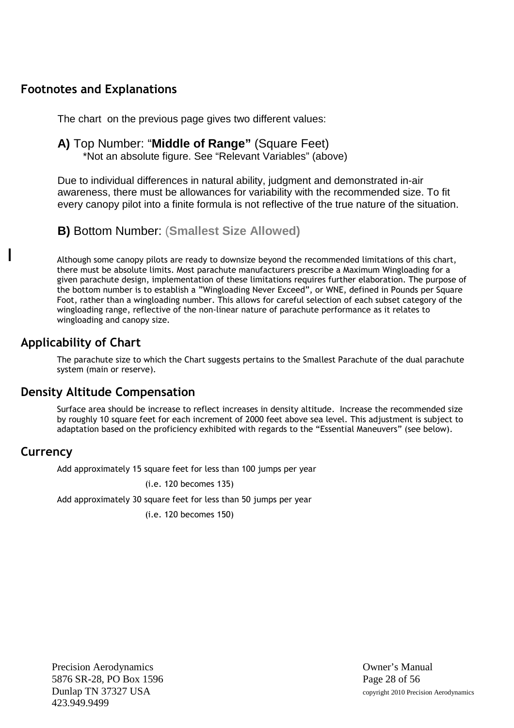# **Footnotes and Explanations**

The chart on the previous page gives two different values:

# **A)** Top Number: "**Middle of Range"** (Square Feet)

\*Not an absolute figure. See "Relevant Variables" (above)

Due to individual differences in natural ability, judgment and demonstrated in-air awareness, there must be allowances for variability with the recommended size. To fit every canopy pilot into a finite formula is not reflective of the true nature of the situation.

**B)** Bottom Number: (**Smallest Size Allowed)**

Although some canopy pilots are ready to downsize beyond the recommended limitations of this chart, there must be absolute limits. Most parachute manufacturers prescribe a Maximum Wingloading for a given parachute design, implementation of these limitations requires further elaboration. The purpose of the bottom number is to establish a "Wingloading Never Exceed", or WNE, defined in Pounds per Square Foot, rather than a wingloading number. This allows for careful selection of each subset category of the wingloading range, reflective of the non-linear nature of parachute performance as it relates to wingloading and canopy size.

# **Applicability of Chart**

The parachute size to which the Chart suggests pertains to the Smallest Parachute of the dual parachute system (main or reserve).

# **Density Altitude Compensation**

Surface area should be increase to reflect increases in density altitude. Increase the recommended size by roughly 10 square feet for each increment of 2000 feet above sea level. This adjustment is subject to adaptation based on the proficiency exhibited with regards to the "Essential Maneuvers" (see below).

#### **Currency**

Add approximately 15 square feet for less than 100 jumps per year

(i.e. 120 becomes 135)

Add approximately 30 square feet for less than 50 jumps per year

(i.e. 120 becomes 150)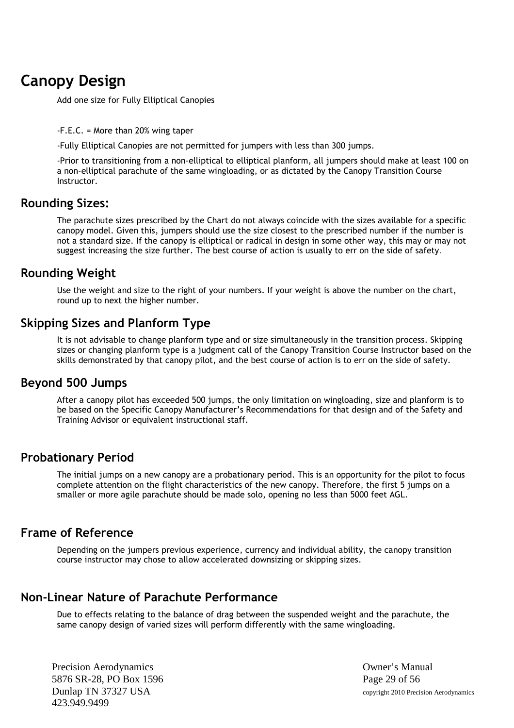# **Canopy Design**

Add one size for Fully Elliptical Canopies

-F.E.C. = More than 20% wing taper

-Fully Elliptical Canopies are not permitted for jumpers with less than 300 jumps.

-Prior to transitioning from a non-elliptical to elliptical planform, all jumpers should make at least 100 on a non-elliptical parachute of the same wingloading, or as dictated by the Canopy Transition Course Instructor.

#### **Rounding Sizes:**

The parachute sizes prescribed by the Chart do not always coincide with the sizes available for a specific canopy model. Given this, jumpers should use the size closest to the prescribed number if the number is not a standard size. If the canopy is elliptical or radical in design in some other way, this may or may not suggest increasing the size further. The best course of action is usually to err on the side of safety.

#### **Rounding Weight**

Use the weight and size to the right of your numbers. If your weight is above the number on the chart, round up to next the higher number.

#### **Skipping Sizes and Planform Type**

It is not advisable to change planform type and or size simultaneously in the transition process. Skipping sizes or changing planform type is a judgment call of the Canopy Transition Course Instructor based on the skills demonstrated by that canopy pilot, and the best course of action is to err on the side of safety.

#### **Beyond 500 Jumps**

After a canopy pilot has exceeded 500 jumps, the only limitation on wingloading, size and planform is to be based on the Specific Canopy Manufacturer's Recommendations for that design and of the Safety and Training Advisor or equivalent instructional staff.

#### **Probationary Period**

The initial jumps on a new canopy are a probationary period. This is an opportunity for the pilot to focus complete attention on the flight characteristics of the new canopy. Therefore, the first 5 jumps on a smaller or more agile parachute should be made solo, opening no less than 5000 feet AGL.

#### **Frame of Reference**

Depending on the jumpers previous experience, currency and individual ability, the canopy transition course instructor may chose to allow accelerated downsizing or skipping sizes.

#### **Non-Linear Nature of Parachute Performance**

Due to effects relating to the balance of drag between the suspended weight and the parachute, the same canopy design of varied sizes will perform differently with the same wingloading.

Precision Aerodynamics **Owner's Manual** 5876 SR-28, PO Box 1596 Page 29 of 56 Dunlap TN 37327 USA copyright 2010 Precision Aerodynamics 423.949.9499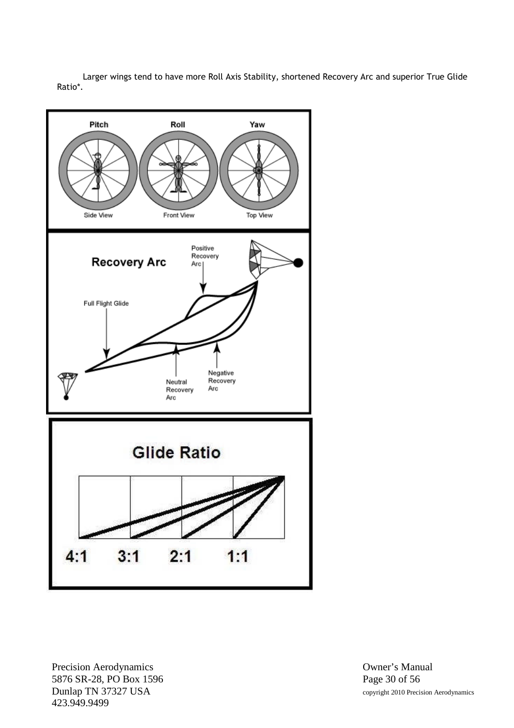Larger wings tend to have more Roll Axis Stability, shortened Recovery Arc and superior True Glide Ratio\*.



Precision Aerodynamics **Owner's Manual** 5876 SR-28, PO Box 1596 Page 30 of 56<br>
Dunlap TN 37327 USA copyright 2010 Preci-423.949.9499

copyright 2010 Precision Aerodynamics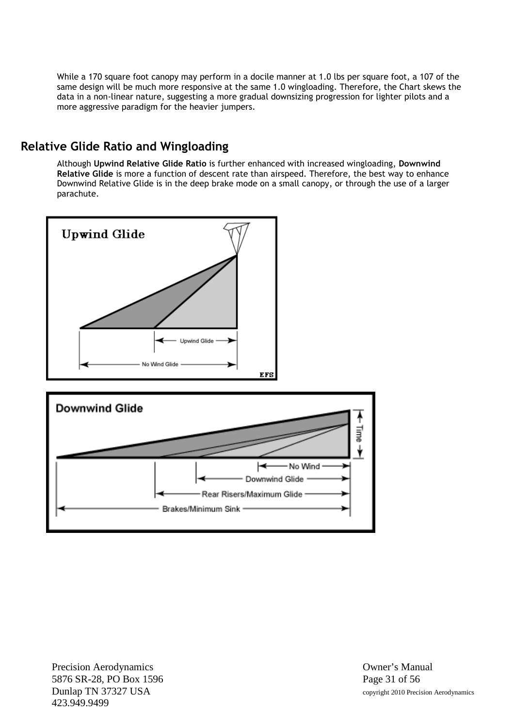While a 170 square foot canopy may perform in a docile manner at 1.0 lbs per square foot, a 107 of the same design will be much more responsive at the same 1.0 wingloading. Therefore, the Chart skews the data in a non-linear nature, suggesting a more gradual downsizing progression for lighter pilots and a more aggressive paradigm for the heavier jumpers.

## **Relative Glide Ratio and Wingloading**

Although **Upwind Relative Glide Ratio** is further enhanced with increased wingloading, **Downwind Relative Glide** is more a function of descent rate than airspeed. Therefore, the best way to enhance Downwind Relative Glide is in the deep brake mode on a small canopy, or through the use of a larger parachute.



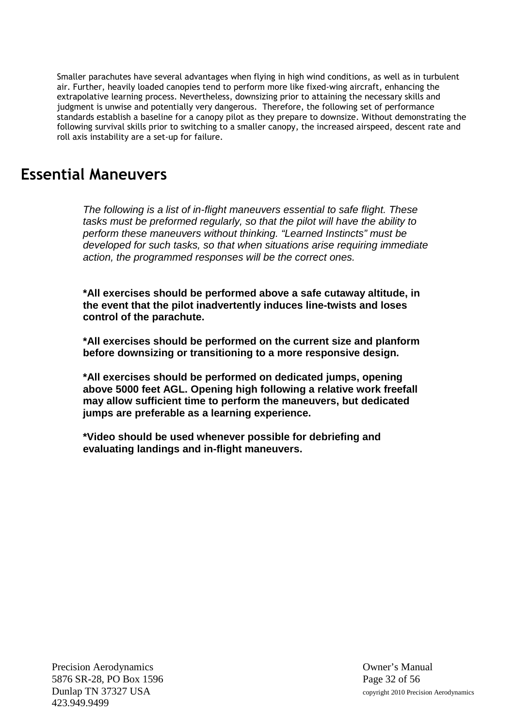Smaller parachutes have several advantages when flying in high wind conditions, as well as in turbulent air. Further, heavily loaded canopies tend to perform more like fixed-wing aircraft, enhancing the extrapolative learning process. Nevertheless, downsizing prior to attaining the necessary skills and judgment is unwise and potentially very dangerous. Therefore, the following set of performance standards establish a baseline for a canopy pilot as they prepare to downsize. Without demonstrating the following survival skills prior to switching to a smaller canopy, the increased airspeed, descent rate and roll axis instability are a set-up for failure.

# **Essential Maneuvers**

*The following is a list of in-flight maneuvers essential to safe flight. These tasks must be preformed regularly, so that the pilot will have the ability to perform these maneuvers without thinking. "Learned Instincts" must be developed for such tasks, so that when situations arise requiring immediate action, the programmed responses will be the correct ones.*

**\*All exercises should be performed above a safe cutaway altitude, in the event that the pilot inadvertently induces line-twists and loses control of the parachute.**

**\*All exercises should be performed on the current size and planform before downsizing or transitioning to a more responsive design.**

**\*All exercises should be performed on dedicated jumps, opening above 5000 feet AGL. Opening high following a relative work freefall may allow sufficient time to perform the maneuvers, but dedicated jumps are preferable as a learning experience.**

**\*Video should be used whenever possible for debriefing and evaluating landings and in-flight maneuvers.**

Precision Aerodynamics **Owner's Manual** 5876 SR-28, PO Box 1596 Page 32 of 56 Dunlap TN 37327 USA copyright 2010 Precision Aerodynamics 423.949.9499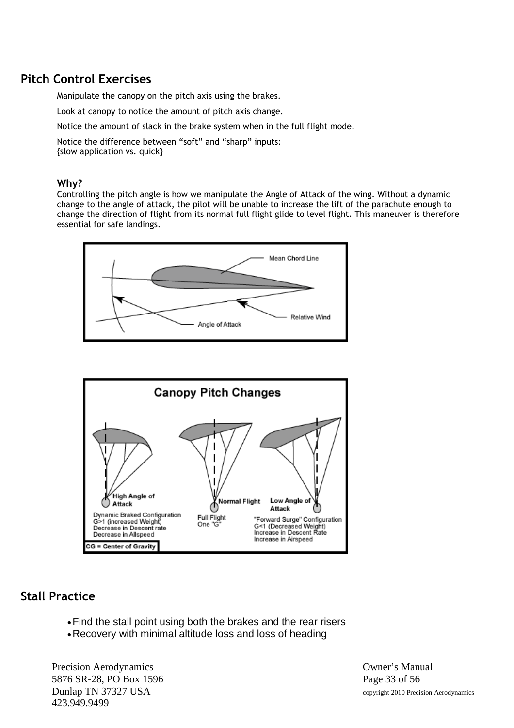# **Pitch Control Exercises**

Manipulate the canopy on the pitch axis using the brakes.

Look at canopy to notice the amount of pitch axis change.

Notice the amount of slack in the brake system when in the full flight mode.

Notice the difference between "soft" and "sharp" inputs: {slow application vs. quick}

#### **Why?**

Controlling the pitch angle is how we manipulate the Angle of Attack of the wing. Without a dynamic change to the angle of attack, the pilot will be unable to increase the lift of the parachute enough to change the direction of flight from its normal full flight glide to level flight. This maneuver is therefore essential for safe landings.





# **Stall Practice**

- Find the stall point using both the brakes and the rear risers
- Recovery with minimal altitude loss and loss of heading

Precision Aerodynamics **Owner's Manual** 5876 SR-28, PO Box 1596 Page 33 of 56 Dunlap TN 37327 USA copyright 2010 Precision Aerodynamics 423.949.9499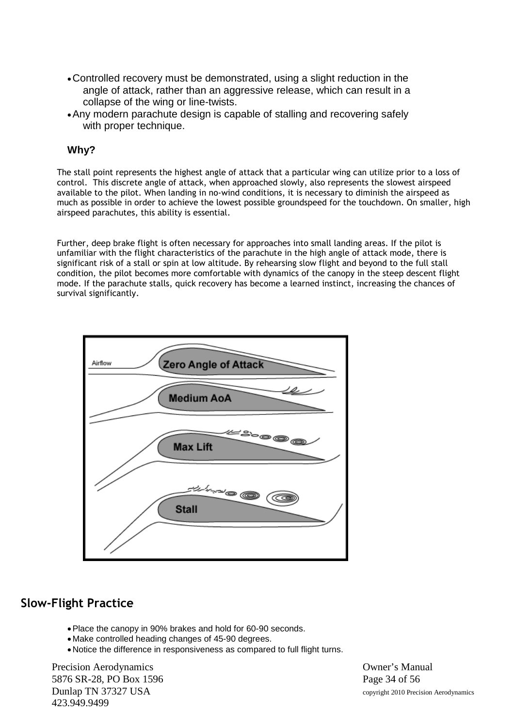- Controlled recovery must be demonstrated, using a slight reduction in the angle of attack, rather than an aggressive release, which can result in a collapse of the wing or line-twists.
- Any modern parachute design is capable of stalling and recovering safely with proper technique.

The stall point represents the highest angle of attack that a particular wing can utilize prior to a loss of control. This discrete angle of attack, when approached slowly, also represents the slowest airspeed available to the pilot. When landing in no-wind conditions, it is necessary to diminish the airspeed as much as possible in order to achieve the lowest possible groundspeed for the touchdown. On smaller, high airspeed parachutes, this ability is essential.

Further, deep brake flight is often necessary for approaches into small landing areas. If the pilot is unfamiliar with the flight characteristics of the parachute in the high angle of attack mode, there is significant risk of a stall or spin at low altitude. By rehearsing slow flight and beyond to the full stall condition, the pilot becomes more comfortable with dynamics of the canopy in the steep descent flight mode. If the parachute stalls, quick recovery has become a learned instinct, increasing the chances of survival significantly.



# **Slow-Flight Practice**

- Place the canopy in 90% brakes and hold for 60-90 seconds.
- Make controlled heading changes of 45-90 degrees.
- Notice the difference in responsiveness as compared to full flight turns.

Precision Aerodynamics **Owner's Manual** 5876 SR-28, PO Box 1596 Page 34 of 56 Dunlap TN 37327 USA copyright 2010 Precision Aerodynamics 423.949.9499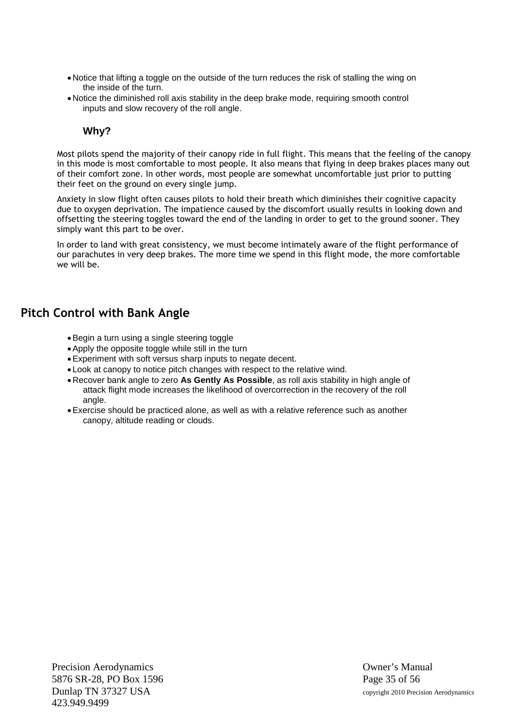- Notice that lifting a toggle on the outside of the turn reduces the risk of stalling the wing on the inside of the turn.
- Notice the diminished roll axis stability in the deep brake mode, requiring smooth control inputs and slow recovery of the roll angle.

Most pilots spend the majority of their canopy ride in full flight. This means that the feeling of the canopy in this mode is most comfortable to most people. It also means that flying in deep brakes places many out of their comfort zone. In other words, most people are somewhat uncomfortable just prior to putting their feet on the ground on every single jump.

Anxiety in slow flight often causes pilots to hold their breath which diminishes their cognitive capacity due to oxygen deprivation. The impatience caused by the discomfort usually results in looking down and offsetting the steering toggles toward the end of the landing in order to get to the ground sooner. They simply want this part to be over.

In order to land with great consistency, we must become intimately aware of the flight performance of our parachutes in very deep brakes. The more time we spend in this flight mode, the more comfortable we will be.

# **Pitch Control with Bank Angle**

- Begin a turn using a single steering toggle
- Apply the opposite toggle while still in the turn
- Experiment with soft versus sharp inputs to negate decent.
- Look at canopy to notice pitch changes with respect to the relative wind.
- Recover bank angle to zero **As Gently As Possible**, as roll axis stability in high angle of attack flight mode increases the likelihood of overcorrection in the recovery of the roll angle.
- Exercise should be practiced alone, as well as with a relative reference such as another canopy, altitude reading or clouds.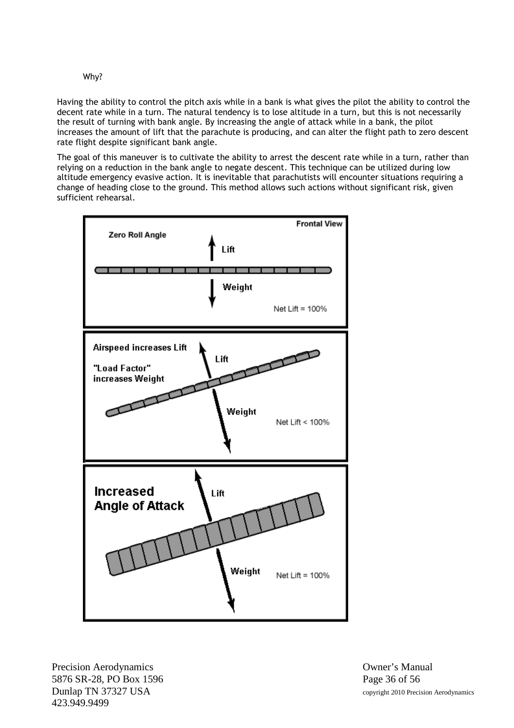Having the ability to control the pitch axis while in a bank is what gives the pilot the ability to control the decent rate while in a turn. The natural tendency is to lose altitude in a turn, but this is not necessarily the result of turning with bank angle. By increasing the angle of attack while in a bank, the pilot increases the amount of lift that the parachute is producing, and can alter the flight path to zero descent rate flight despite significant bank angle.

The goal of this maneuver is to cultivate the ability to arrest the descent rate while in a turn, rather than relying on a reduction in the bank angle to negate descent. This technique can be utilized during low altitude emergency evasive action. It is inevitable that parachutists will encounter situations requiring a change of heading close to the ground. This method allows such actions without significant risk, given sufficient rehearsal.



Precision Aerodynamics **Owner's Manual** 5876 SR-28, PO Box 1596 Page 36 of 56 Dunlap TN 37327 USA copyright 2010 Precision Aerodynamics 423.949.9499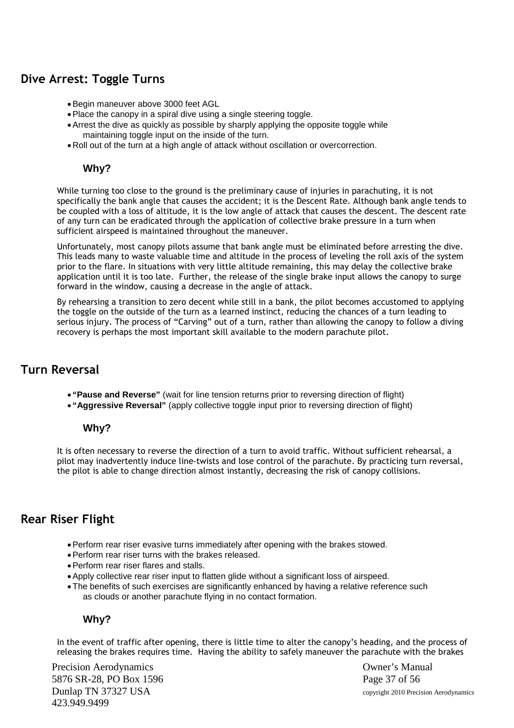## **Dive Arrest: Toggle Turns**

- Begin maneuver above 3000 feet AGL
- Place the canopy in a spiral dive using a single steering toggle.
- Arrest the dive as quickly as possible by sharply applying the opposite toggle while maintaining toggle input on the inside of the turn.
- Roll out of the turn at a high angle of attack without oscillation or overcorrection.

#### **Why?**

While turning too close to the ground is the preliminary cause of injuries in parachuting, it is not specifically the bank angle that causes the accident; it is the Descent Rate. Although bank angle tends to be coupled with a loss of altitude, it is the low angle of attack that causes the descent. The descent rate of any turn can be eradicated through the application of collective brake pressure in a turn when sufficient airspeed is maintained throughout the maneuver.

Unfortunately, most canopy pilots assume that bank angle must be eliminated before arresting the dive. This leads many to waste valuable time and altitude in the process of leveling the roll axis of the system prior to the flare. In situations with very little altitude remaining, this may delay the collective brake application until it is too late. Further, the release of the single brake input allows the canopy to surge forward in the window, causing a decrease in the angle of attack.

By rehearsing a transition to zero decent while still in a bank, the pilot becomes accustomed to applying the toggle on the outside of the turn as a learned instinct, reducing the chances of a turn leading to serious injury. The process of "Carving" out of a turn, rather than allowing the canopy to follow a diving recovery is perhaps the most important skill available to the modern parachute pilot.

#### **Turn Reversal**

- **"Pause and Reverse"** (wait for line tension returns prior to reversing direction of flight)
- **"Aggressive Reversal"** (apply collective toggle input prior to reversing direction of flight)

#### **Why?**

It is often necessary to reverse the direction of a turn to avoid traffic. Without sufficient rehearsal, a pilot may inadvertently induce line-twists and lose control of the parachute. By practicing turn reversal, the pilot is able to change direction almost instantly, decreasing the risk of canopy collisions.

#### **Rear Riser Flight**

- Perform rear riser evasive turns immediately after opening with the brakes stowed.
- Perform rear riser turns with the brakes released.
- Perform rear riser flares and stalls.
- Apply collective rear riser input to flatten glide without a significant loss of airspeed.
- The benefits of such exercises are significantly enhanced by having a relative reference such as clouds or another parachute flying in no contact formation.

#### **Why?**

In the event of traffic after opening, there is little time to alter the canopy's heading, and the process of releasing the brakes requires time. Having the ability to safely maneuver the parachute with the brakes

Precision Aerodynamics **Owner's Manual** 5876 SR-28, PO Box 1596 Page 37 of 56 Dunlap TN 37327 USA copyright 2010 Precision Aerodynamics 423.949.9499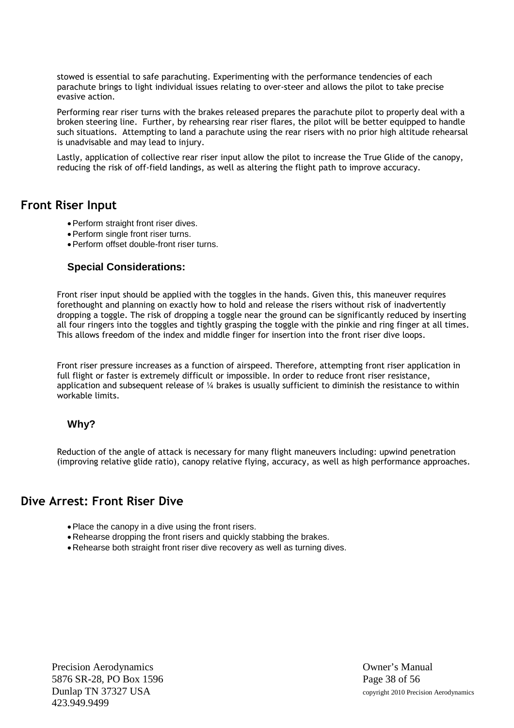stowed is essential to safe parachuting. Experimenting with the performance tendencies of each parachute brings to light individual issues relating to over-steer and allows the pilot to take precise evasive action.

Performing rear riser turns with the brakes released prepares the parachute pilot to properly deal with a broken steering line. Further, by rehearsing rear riser flares, the pilot will be better equipped to handle such situations. Attempting to land a parachute using the rear risers with no prior high altitude rehearsal is unadvisable and may lead to injury.

Lastly, application of collective rear riser input allow the pilot to increase the True Glide of the canopy, reducing the risk of off-field landings, as well as altering the flight path to improve accuracy.

#### **Front Riser Input**

- Perform straight front riser dives.
- Perform single front riser turns.
- Perform offset double-front riser turns.

#### **Special Considerations:**

Front riser input should be applied with the toggles in the hands. Given this, this maneuver requires forethought and planning on exactly how to hold and release the risers without risk of inadvertently dropping a toggle. The risk of dropping a toggle near the ground can be significantly reduced by inserting all four ringers into the toggles and tightly grasping the toggle with the pinkie and ring finger at all times. This allows freedom of the index and middle finger for insertion into the front riser dive loops.

Front riser pressure increases as a function of airspeed. Therefore, attempting front riser application in full flight or faster is extremely difficult or impossible. In order to reduce front riser resistance, application and subsequent release of  $\frac{1}{4}$  brakes is usually sufficient to diminish the resistance to within workable limits.

#### **Why?**

Reduction of the angle of attack is necessary for many flight maneuvers including: upwind penetration (improving relative glide ratio), canopy relative flying, accuracy, as well as high performance approaches.

#### **Dive Arrest: Front Riser Dive**

- Place the canopy in a dive using the front risers.
- Rehearse dropping the front risers and quickly stabbing the brakes.
- Rehearse both straight front riser dive recovery as well as turning dives.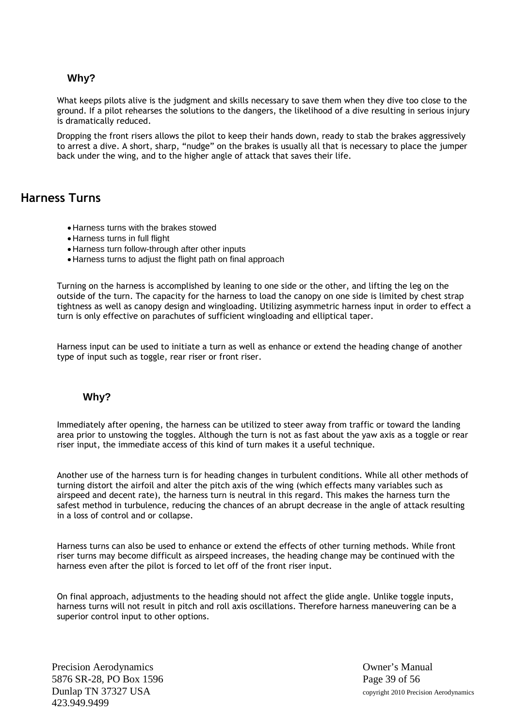What keeps pilots alive is the judgment and skills necessary to save them when they dive too close to the ground. If a pilot rehearses the solutions to the dangers, the likelihood of a dive resulting in serious injury is dramatically reduced.

Dropping the front risers allows the pilot to keep their hands down, ready to stab the brakes aggressively to arrest a dive. A short, sharp, "nudge" on the brakes is usually all that is necessary to place the jumper back under the wing, and to the higher angle of attack that saves their life.

## **Harness Turns**

- Harness turns with the brakes stowed
- Harness turns in full flight
- Harness turn follow-through after other inputs
- Harness turns to adjust the flight path on final approach

Turning on the harness is accomplished by leaning to one side or the other, and lifting the leg on the outside of the turn. The capacity for the harness to load the canopy on one side is limited by chest strap tightness as well as canopy design and wingloading. Utilizing asymmetric harness input in order to effect a turn is only effective on parachutes of sufficient wingloading and elliptical taper.

Harness input can be used to initiate a turn as well as enhance or extend the heading change of another type of input such as toggle, rear riser or front riser.

#### **Why?**

Immediately after opening, the harness can be utilized to steer away from traffic or toward the landing area prior to unstowing the toggles. Although the turn is not as fast about the yaw axis as a toggle or rear riser input, the immediate access of this kind of turn makes it a useful technique.

Another use of the harness turn is for heading changes in turbulent conditions. While all other methods of turning distort the airfoil and alter the pitch axis of the wing (which effects many variables such as airspeed and decent rate), the harness turn is neutral in this regard. This makes the harness turn the safest method in turbulence, reducing the chances of an abrupt decrease in the angle of attack resulting in a loss of control and or collapse.

Harness turns can also be used to enhance or extend the effects of other turning methods. While front riser turns may become difficult as airspeed increases, the heading change may be continued with the harness even after the pilot is forced to let off of the front riser input.

On final approach, adjustments to the heading should not affect the glide angle. Unlike toggle inputs, harness turns will not result in pitch and roll axis oscillations. Therefore harness maneuvering can be a superior control input to other options.

Precision Aerodynamics **Owner's Manual** 5876 SR-28, PO Box 1596 Page 39 of 56 423.949.9499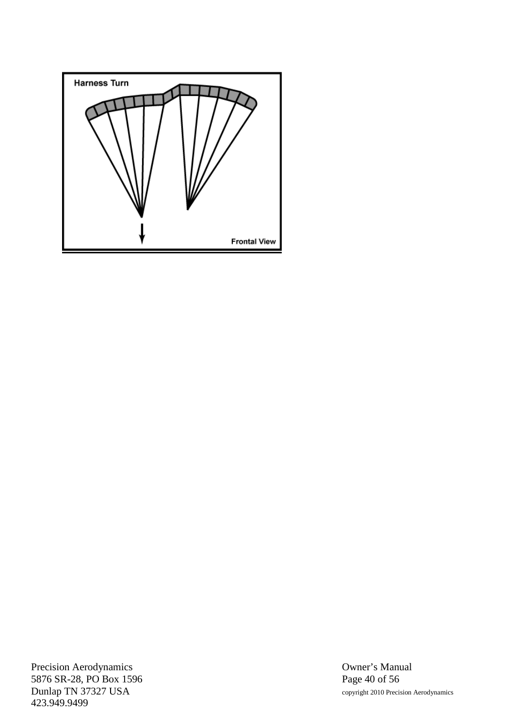

Precision Aerodynamics<br>
5876 SR-28, PO Box 1596<br>
Page 40 of 56 5876 SR-28, PO Box 1596<br>Dunlap TN 37327 USA 423.949.9499

copyright 2010 Precision Aerodynamics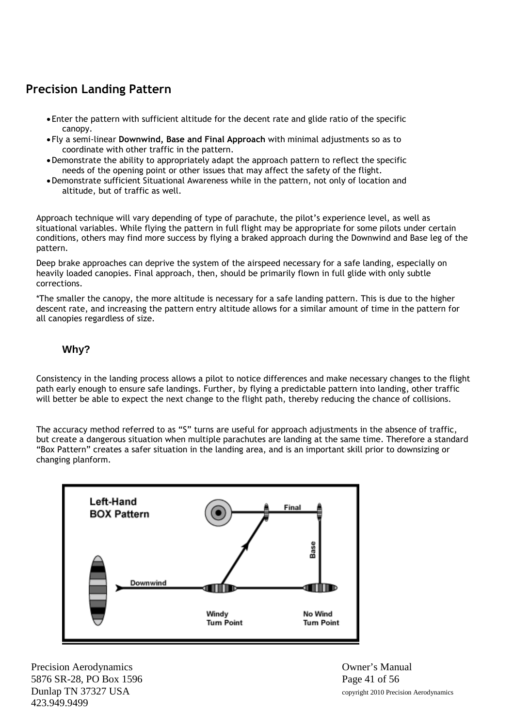# **Precision Landing Pattern**

- Enter the pattern with sufficient altitude for the decent rate and glide ratio of the specific canopy.
- Fly a semi-linear **Downwind, Base and Final Approach** with minimal adjustments so as to coordinate with other traffic in the pattern.
- Demonstrate the ability to appropriately adapt the approach pattern to reflect the specific needs of the opening point or other issues that may affect the safety of the flight.
- Demonstrate sufficient Situational Awareness while in the pattern, not only of location and altitude, but of traffic as well.

Approach technique will vary depending of type of parachute, the pilot's experience level, as well as situational variables. While flying the pattern in full flight may be appropriate for some pilots under certain conditions, others may find more success by flying a braked approach during the Downwind and Base leg of the pattern.

Deep brake approaches can deprive the system of the airspeed necessary for a safe landing, especially on heavily loaded canopies. Final approach, then, should be primarily flown in full glide with only subtle corrections.

\*The smaller the canopy, the more altitude is necessary for a safe landing pattern. This is due to the higher descent rate, and increasing the pattern entry altitude allows for a similar amount of time in the pattern for all canopies regardless of size.

#### **Why?**

Consistency in the landing process allows a pilot to notice differences and make necessary changes to the flight path early enough to ensure safe landings. Further, by flying a predictable pattern into landing, other traffic will better be able to expect the next change to the flight path, thereby reducing the chance of collisions.

The accuracy method referred to as "S" turns are useful for approach adjustments in the absence of traffic, but create a dangerous situation when multiple parachutes are landing at the same time. Therefore a standard "Box Pattern" creates a safer situation in the landing area, and is an important skill prior to downsizing or changing planform.



Precision Aerodynamics Owner's Manual 5876 SR-28, PO Box 1596 Page 41 of 56 Dunlap TN 37327 USA copyright 2010 Precision Aerodynamics 423.949.9499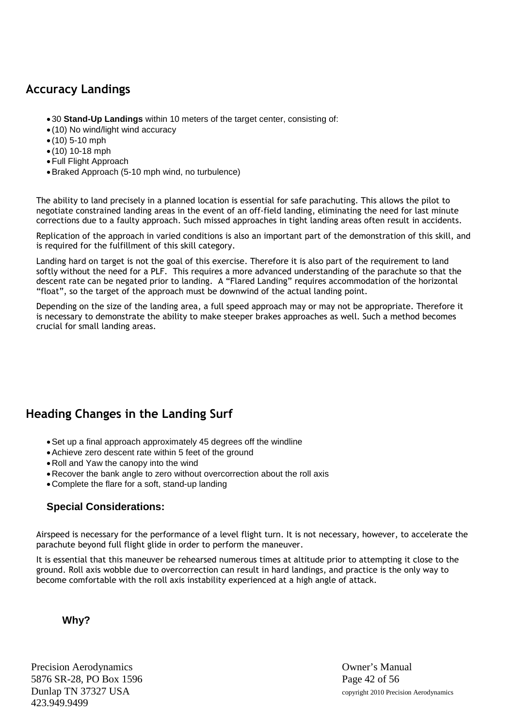# **Accuracy Landings**

- 30 **Stand-Up Landings** within 10 meters of the target center, consisting of:
- (10) No wind/light wind accuracy
- $(10)$  5-10 mph
- $(10)$  10-18 mph
- Full Flight Approach
- Braked Approach (5-10 mph wind, no turbulence)

The ability to land precisely in a planned location is essential for safe parachuting. This allows the pilot to negotiate constrained landing areas in the event of an off-field landing, eliminating the need for last minute corrections due to a faulty approach. Such missed approaches in tight landing areas often result in accidents.

Replication of the approach in varied conditions is also an important part of the demonstration of this skill, and is required for the fulfillment of this skill category.

Landing hard on target is not the goal of this exercise. Therefore it is also part of the requirement to land softly without the need for a PLF. This requires a more advanced understanding of the parachute so that the descent rate can be negated prior to landing. A "Flared Landing" requires accommodation of the horizontal "float", so the target of the approach must be downwind of the actual landing point.

Depending on the size of the landing area, a full speed approach may or may not be appropriate. Therefore it is necessary to demonstrate the ability to make steeper brakes approaches as well. Such a method becomes crucial for small landing areas.

# **Heading Changes in the Landing Surf**

- Set up a final approach approximately 45 degrees off the windline
- Achieve zero descent rate within 5 feet of the ground
- Roll and Yaw the canopy into the wind
- Recover the bank angle to zero without overcorrection about the roll axis
- Complete the flare for a soft, stand-up landing

#### **Special Considerations:**

Airspeed is necessary for the performance of a level flight turn. It is not necessary, however, to accelerate the parachute beyond full flight glide in order to perform the maneuver.

It is essential that this maneuver be rehearsed numerous times at altitude prior to attempting it close to the ground. Roll axis wobble due to overcorrection can result in hard landings, and practice is the only way to become comfortable with the roll axis instability experienced at a high angle of attack.

#### **Why?**

Precision Aerodynamics **Owner's Manual** 5876 SR-28, PO Box 1596 Page 42 of 56 Dunlap TN 37327 USA copyright 2010 Precision Aerodynamics 423.949.9499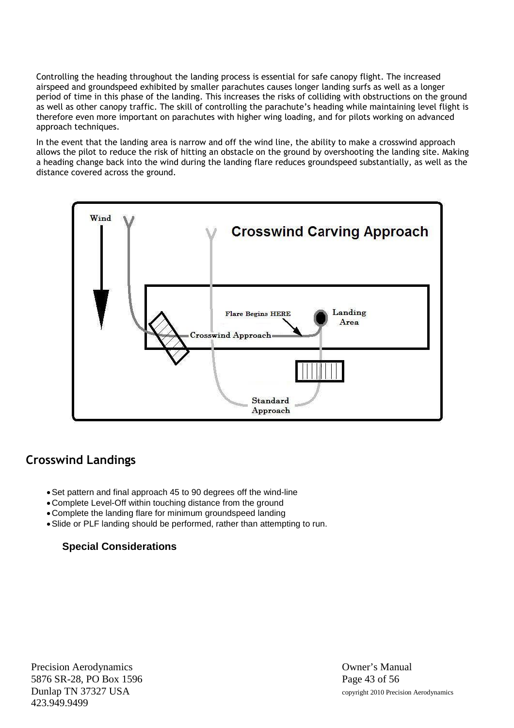Controlling the heading throughout the landing process is essential for safe canopy flight. The increased airspeed and groundspeed exhibited by smaller parachutes causes longer landing surfs as well as a longer period of time in this phase of the landing. This increases the risks of colliding with obstructions on the ground as well as other canopy traffic. The skill of controlling the parachute's heading while maintaining level flight is therefore even more important on parachutes with higher wing loading, and for pilots working on advanced approach techniques.

In the event that the landing area is narrow and off the wind line, the ability to make a crosswind approach allows the pilot to reduce the risk of hitting an obstacle on the ground by overshooting the landing site. Making a heading change back into the wind during the landing flare reduces groundspeed substantially, as well as the distance covered across the ground.



#### **Crosswind Landings**

- Set pattern and final approach 45 to 90 degrees off the wind-line
- Complete Level-Off within touching distance from the ground
- Complete the landing flare for minimum groundspeed landing
- Slide or PLF landing should be performed, rather than attempting to run.

#### **Special Considerations**

Precision Aerodynamics **Owner's Manual** 5876 SR-28, PO Box 1596 Page 43 of 56 Dunlap TN 37327 USA copyright 2010 Precision Aerodynamics 423.949.9499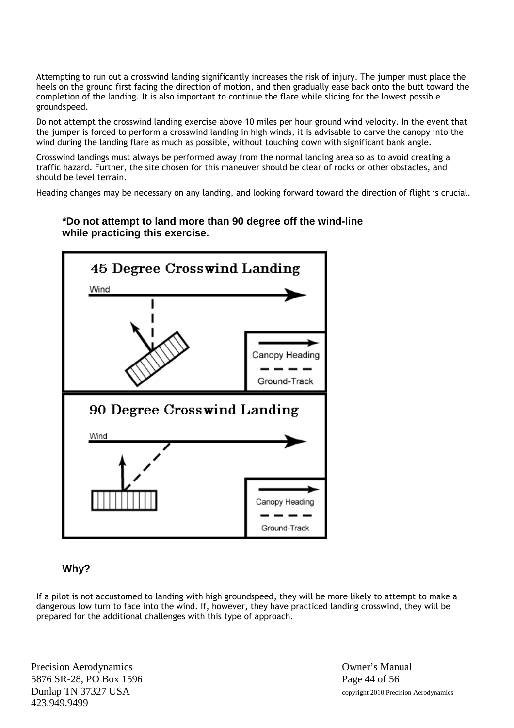Attempting to run out a crosswind landing significantly increases the risk of injury. The jumper must place the heels on the ground first facing the direction of motion, and then gradually ease back onto the butt toward the completion of the landing. It is also important to continue the flare while sliding for the lowest possible groundspeed.

Do not attempt the crosswind landing exercise above 10 miles per hour ground wind velocity. In the event that the jumper is forced to perform a crosswind landing in high winds, it is advisable to carve the canopy into the wind during the landing flare as much as possible, without touching down with significant bank angle.

Crosswind landings must always be performed away from the normal landing area so as to avoid creating a traffic hazard. Further, the site chosen for this maneuver should be clear of rocks or other obstacles, and should be level terrain.

Heading changes may be necessary on any landing, and looking forward toward the direction of flight is crucial.

#### **\*Do not attempt to land more than 90 degree off the wind-line while practicing this exercise.**



#### **Why?**

If a pilot is not accustomed to landing with high groundspeed, they will be more likely to attempt to make a dangerous low turn to face into the wind. If, however, they have practiced landing crosswind, they will be prepared for the additional challenges with this type of approach.

Precision Aerodynamics **Owner's Manual** 5876 SR-28, PO Box 1596 Page 44 of 56 Dunlap TN 37327 USA copyright 2010 Precision Aerodynamics 423.949.9499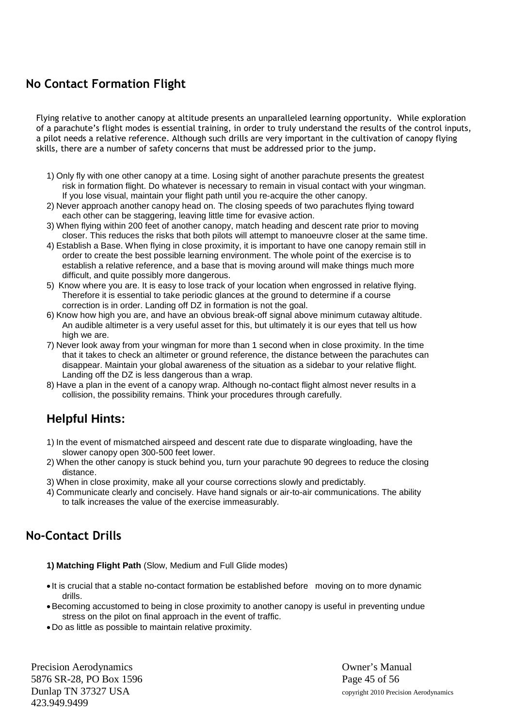# **No Contact Formation Flight**

Flying relative to another canopy at altitude presents an unparalleled learning opportunity. While exploration of a parachute's flight modes is essential training, in order to truly understand the results of the control inputs, a pilot needs a relative reference. Although such drills are very important in the cultivation of canopy flying skills, there are a number of safety concerns that must be addressed prior to the jump.

- 1) Only fly with one other canopy at a time. Losing sight of another parachute presents the greatest risk in formation flight. Do whatever is necessary to remain in visual contact with your wingman. If you lose visual, maintain your flight path until you re-acquire the other canopy.
- 2) Never approach another canopy head on. The closing speeds of two parachutes flying toward each other can be staggering, leaving little time for evasive action.
- 3) When flying within 200 feet of another canopy, match heading and descent rate prior to moving closer. This reduces the risks that both pilots will attempt to manoeuvre closer at the same time.
- 4) Establish a Base. When flying in close proximity, it is important to have one canopy remain still in order to create the best possible learning environment. The whole point of the exercise is to establish a relative reference, and a base that is moving around will make things much more difficult, and quite possibly more dangerous.
- 5) Know where you are. It is easy to lose track of your location when engrossed in relative flying. Therefore it is essential to take periodic glances at the ground to determine if a course correction is in order. Landing off DZ in formation is not the goal.
- 6) Know how high you are, and have an obvious break-off signal above minimum cutaway altitude. An audible altimeter is a very useful asset for this, but ultimately it is our eyes that tell us how high we are.
- 7) Never look away from your wingman for more than 1 second when in close proximity. In the time that it takes to check an altimeter or ground reference, the distance between the parachutes can disappear. Maintain your global awareness of the situation as a sidebar to your relative flight. Landing off the DZ is less dangerous than a wrap.
- 8) Have a plan in the event of a canopy wrap. Although no-contact flight almost never results in a collision, the possibility remains. Think your procedures through carefully.

# **Helpful Hints:**

- 1) In the event of mismatched airspeed and descent rate due to disparate wingloading, have the slower canopy open 300-500 feet lower.
- 2) When the other canopy is stuck behind you, turn your parachute 90 degrees to reduce the closing distance.
- 3) When in close proximity, make all your course corrections slowly and predictably.
- 4) Communicate clearly and concisely. Have hand signals or air-to-air communications. The ability to talk increases the value of the exercise immeasurably.

# **No-Contact Drills**

**1) Matching Flight Path** (Slow, Medium and Full Glide modes)

- It is crucial that a stable no-contact formation be established before moving on to more dynamic drills.
- Becoming accustomed to being in close proximity to another canopy is useful in preventing undue stress on the pilot on final approach in the event of traffic.
- Do as little as possible to maintain relative proximity.

Precision Aerodynamics **Owner's Manual** 5876 SR-28, PO Box 1596 Page 45 of 56 Dunlap TN 37327 USA copyright 2010 Precision Aerodynamics 423.949.9499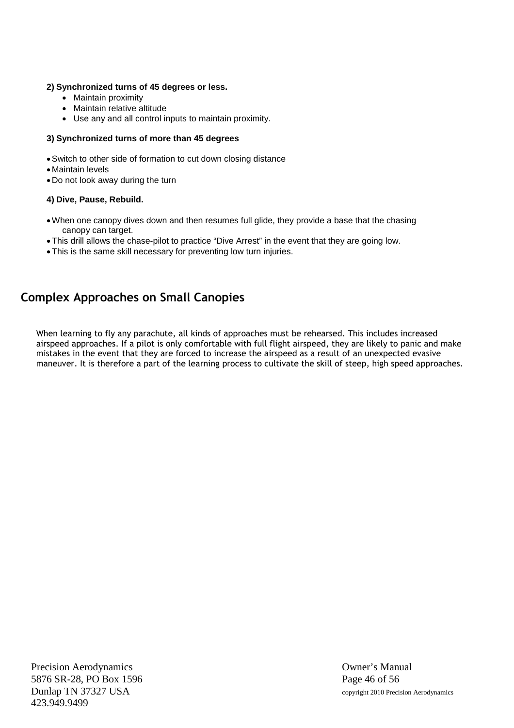#### **2) Synchronized turns of 45 degrees or less.**

- Maintain proximity
- Maintain relative altitude
- Use any and all control inputs to maintain proximity.

#### **3) Synchronized turns of more than 45 degrees**

- Switch to other side of formation to cut down closing distance
- Maintain levels
- Do not look away during the turn

#### **4) Dive, Pause, Rebuild.**

- When one canopy dives down and then resumes full glide, they provide a base that the chasing canopy can target.
- This drill allows the chase-pilot to practice "Dive Arrest" in the event that they are going low.
- This is the same skill necessary for preventing low turn injuries.

# **Complex Approaches on Small Canopies**

When learning to fly any parachute, all kinds of approaches must be rehearsed. This includes increased airspeed approaches. If a pilot is only comfortable with full flight airspeed, they are likely to panic and make mistakes in the event that they are forced to increase the airspeed as a result of an unexpected evasive maneuver. It is therefore a part of the learning process to cultivate the skill of steep, high speed approaches.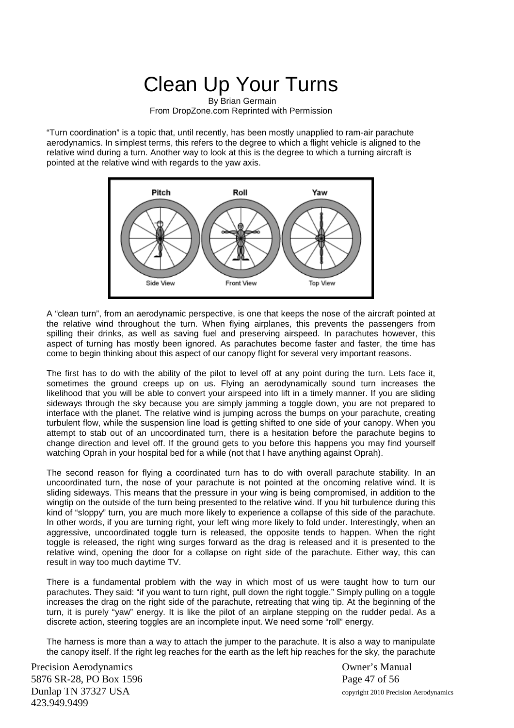# Clean Up Your Turns

By Brian Germain From DropZone.com Reprinted with Permission

"Turn coordination" is a topic that, until recently, has been mostly unapplied to ram-air parachute aerodynamics. In simplest terms, this refers to the degree to which a flight vehicle is aligned to the relative wind during a turn. Another way to look at this is the degree to which a turning aircraft is pointed at the relative wind with regards to the yaw axis.



A "clean turn", from an aerodynamic perspective, is one that keeps the nose of the aircraft pointed at the relative wind throughout the turn. When flying airplanes, this prevents the passengers from spilling their drinks, as well as saving fuel and preserving airspeed. In parachutes however, this aspect of turning has mostly been ignored. As parachutes become faster and faster, the time has come to begin thinking about this aspect of our canopy flight for several very important reasons.

The first has to do with the ability of the pilot to level off at any point during the turn. Lets face it, sometimes the ground creeps up on us. Flying an aerodynamically sound turn increases the likelihood that you will be able to convert your airspeed into lift in a timely manner. If you are sliding sideways through the sky because you are simply jamming a toggle down, you are not prepared to interface with the planet. The relative wind is jumping across the bumps on your parachute, creating turbulent flow, while the suspension line load is getting shifted to one side of your canopy. When you attempt to stab out of an uncoordinated turn, there is a hesitation before the parachute begins to change direction and level off. If the ground gets to you before this happens you may find yourself watching Oprah in your hospital bed for a while (not that I have anything against Oprah).

The second reason for flying a coordinated turn has to do with overall parachute stability. In an uncoordinated turn, the nose of your parachute is not pointed at the oncoming relative wind. It is sliding sideways. This means that the pressure in your wing is being compromised, in addition to the wingtip on the outside of the turn being presented to the relative wind. If you hit turbulence during this kind of "sloppy" turn, you are much more likely to experience a collapse of this side of the parachute. In other words, if you are turning right, your left wing more likely to fold under. Interestingly, when an aggressive, uncoordinated toggle turn is released, the opposite tends to happen. When the right toggle is released, the right wing surges forward as the drag is released and it is presented to the relative wind, opening the door for a collapse on right side of the parachute. Either way, this can result in way too much daytime TV.

There is a fundamental problem with the way in which most of us were taught how to turn our parachutes. They said: "if you want to turn right, pull down the right toggle." Simply pulling on a toggle increases the drag on the right side of the parachute, retreating that wing tip. At the beginning of the turn, it is purely "yaw" energy. It is like the pilot of an airplane stepping on the rudder pedal. As a discrete action, steering toggles are an incomplete input. We need some "roll" energy.

The harness is more than a way to attach the jumper to the parachute. It is also a way to manipulate the canopy itself. If the right leg reaches for the earth as the left hip reaches for the sky, the parachute

Precision Aerodynamics Owner's Manual 5876 SR-28, PO Box 1596 Page 47 of 56 Dunlap TN 37327 USA copyright 2010 Precision Aerodynamics 423.949.9499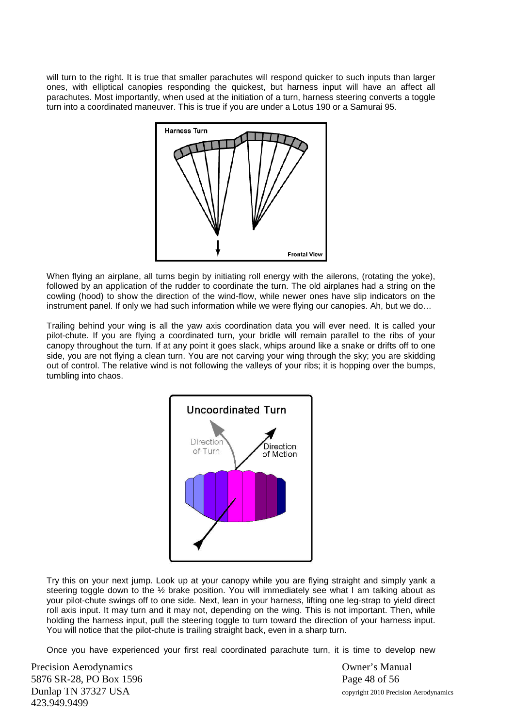will turn to the right. It is true that smaller parachutes will respond quicker to such inputs than larger ones, with elliptical canopies responding the quickest, but harness input will have an affect all parachutes. Most importantly, when used at the initiation of a turn, harness steering converts a toggle turn into a coordinated maneuver. This is true if you are under a Lotus 190 or a Samurai 95.



When flying an airplane, all turns begin by initiating roll energy with the ailerons, (rotating the yoke), followed by an application of the rudder to coordinate the turn. The old airplanes had a string on the cowling (hood) to show the direction of the wind-flow, while newer ones have slip indicators on the instrument panel. If only we had such information while we were flying our canopies. Ah, but we do…

Trailing behind your wing is all the yaw axis coordination data you will ever need. It is called your pilot-chute. If you are flying a coordinated turn, your bridle will remain parallel to the ribs of your canopy throughout the turn. If at any point it goes slack, whips around like a snake or drifts off to one side, you are not flying a clean turn. You are not carving your wing through the sky; you are skidding out of control. The relative wind is not following the valleys of your ribs; it is hopping over the bumps, tumbling into chaos.



Try this on your next jump. Look up at your canopy while you are flying straight and simply yank a steering toggle down to the ½ brake position. You will immediately see what I am talking about as your pilot-chute swings off to one side. Next, lean in your harness, lifting one leg-strap to yield direct roll axis input. It may turn and it may not, depending on the wing. This is not important. Then, while holding the harness input, pull the steering toggle to turn toward the direction of your harness input. You will notice that the pilot-chute is trailing straight back, even in a sharp turn.

Once you have experienced your first real coordinated parachute turn, it is time to develop new

Precision Aerodynamics Owner's Manual 5876 SR-28, PO Box 1596 Page 48 of 56 Dunlap TN 37327 USA copyright 2010 Precision Aerodynamics 423.949.9499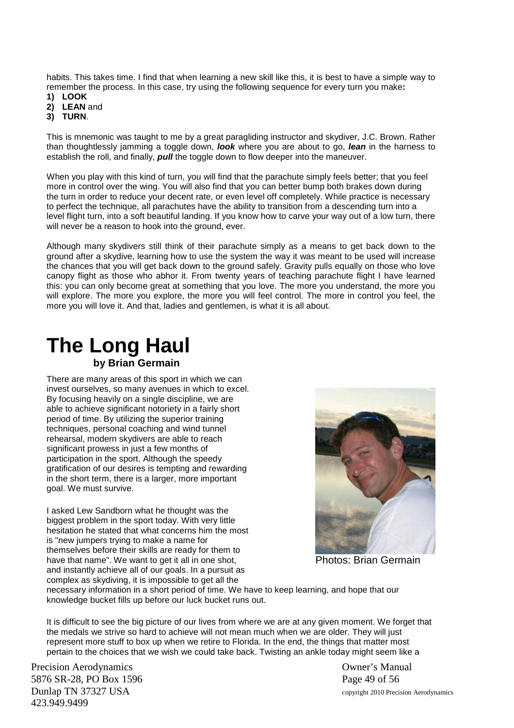habits. This takes time. I find that when learning a new skill like this, it is best to have a simple way to remember the process. In this case, try using the following sequence for every turn you make**:**

- **1) LOOK**
- **2) LEAN** and
- **3) TURN**.

This is mnemonic was taught to me by a great paragliding instructor and skydiver, J.C. Brown. Rather than thoughtlessly jamming a toggle down, *look* where you are about to go, *lean* in the harness to establish the roll, and finally, *pull* the toggle down to flow deeper into the maneuver.

When you play with this kind of turn, you will find that the parachute simply feels better; that you feel more in control over the wing. You will also find that you can better bump both brakes down during the turn in order to reduce your decent rate, or even level off completely. While practice is necessary to perfect the technique, all parachutes have the ability to transition from a descending turn into a level flight turn, into a soft beautiful landing. If you know how to carve your way out of a low turn, there will never be a reason to hook into the ground, ever.

Although many skydivers still think of their parachute simply as a means to get back down to the ground after a skydive, learning how to use the system the way it was meant to be used will increase the chances that you will get back down to the ground safely. Gravity pulls equally on those who love canopy flight as those who abhor it. From twenty years of teaching parachute flight I have learned this: you can only become great at something that you love. The more you understand, the more you will explore. The more you explore, the more you will feel control. The more in control you feel, the more you will love it. And that, ladies and gentlemen, is what it is all about.

# **The Long Haul by Brian Germain**

There are many areas of this sport in which we can invest ourselves, so many avenues in which to excel. By focusing heavily on a single discipline, we are able to achieve significant notoriety in a fairly short period of time. By utilizing the superior training techniques, personal coaching and wind tunnel rehearsal, modern skydivers are able to reach significant prowess in just a few months of participation in the sport. Although the speedy gratification of our desires is tempting and rewarding in the short term, there is a larger, more important goal. We must survive.

I asked Lew Sandborn what he thought was the biggest problem in the sport today. With very little hesitation he stated that what concerns him the most is "new jumpers trying to make a name for themselves before their skills are ready for them to have that name". We want to get it all in one shot, and instantly achieve all of our goals. In a pursuit as complex as skydiving, it is impossible to get all the



Photos: Brian Germain

necessary information in a short period of time. We have to keep learning, and hope that our knowledge bucket fills up before our luck bucket runs out.

It is difficult to see the big picture of our lives from where we are at any given moment. We forget that the medals we strive so hard to achieve will not mean much when we are older. They will just represent more stuff to box up when we retire to Florida. In the end, the things that matter most pertain to the choices that we wish we could take back. Twisting an ankle today might seem like a

Precision Aerodynamics **Owner's Manual** 5876 SR-28, PO Box 1596 Page 49 of 56 Dunlap TN 37327 USA copyright 2010 Precision Aerodynamics 423.949.9499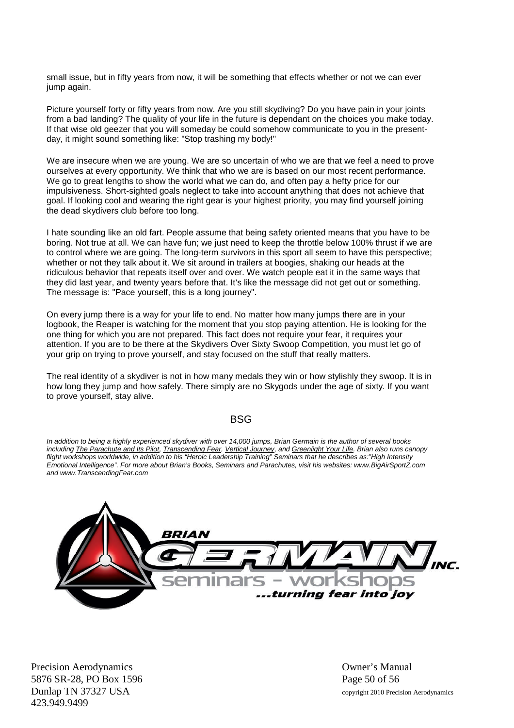small issue, but in fifty years from now, it will be something that effects whether or not we can ever jump again.

Picture yourself forty or fifty years from now. Are you still skydiving? Do you have pain in your joints from a bad landing? The quality of your life in the future is dependant on the choices you make today. If that wise old geezer that you will someday be could somehow communicate to you in the presentday, it might sound something like: "Stop trashing my body!"

We are insecure when we are young. We are so uncertain of who we are that we feel a need to prove ourselves at every opportunity. We think that who we are is based on our most recent performance. We go to great lengths to show the world what we can do, and often pay a hefty price for our impulsiveness. Short-sighted goals neglect to take into account anything that does not achieve that goal. If looking cool and wearing the right gear is your highest priority, you may find yourself joining the dead skydivers club before too long.

I hate sounding like an old fart. People assume that being safety oriented means that you have to be boring. Not true at all. We can have fun; we just need to keep the throttle below 100% thrust if we are to control where we are going. The long-term survivors in this sport all seem to have this perspective; whether or not they talk about it. We sit around in trailers at boogies, shaking our heads at the ridiculous behavior that repeats itself over and over. We watch people eat it in the same ways that they did last year, and twenty years before that. It's like the message did not get out or something. The message is: "Pace yourself, this is a long journey".

On every jump there is a way for your life to end. No matter how many jumps there are in your logbook, the Reaper is watching for the moment that you stop paying attention. He is looking for the one thing for which you are not prepared. This fact does not require your fear, it requires your attention. If you are to be there at the Skydivers Over Sixty Swoop Competition, you must let go of your grip on trying to prove yourself, and stay focused on the stuff that really matters.

The real identity of a skydiver is not in how many medals they win or how stylishly they swoop. It is in how long they jump and how safely. There simply are no Skygods under the age of sixty. If you want to prove yourself, stay alive.

#### **BSG**

*In addition to being a highly experienced skydiver with over 14,000 jumps, Brian Germain is the author of several books including The Parachute and Its Pilot, Transcending Fear, Vertical Journey, and Greenlight Your Life. Brian also runs canopy flight workshops worldwide, in addition to his "Heroic Leadership Training" Seminars that he describes as:"High Intensity Emotional Intelligence". For more about Brian's Books, Seminars and Parachutes, visit his websites: www.BigAirSportZ.com and www.TranscendingFear.com*



Precision Aerodynamics **Owner's Manual** 5876 SR-28, PO Box 1596 Page 50 of 56 Dunlap TN 37327 USA copyright 2010 Precision Aerodynamics 423.949.9499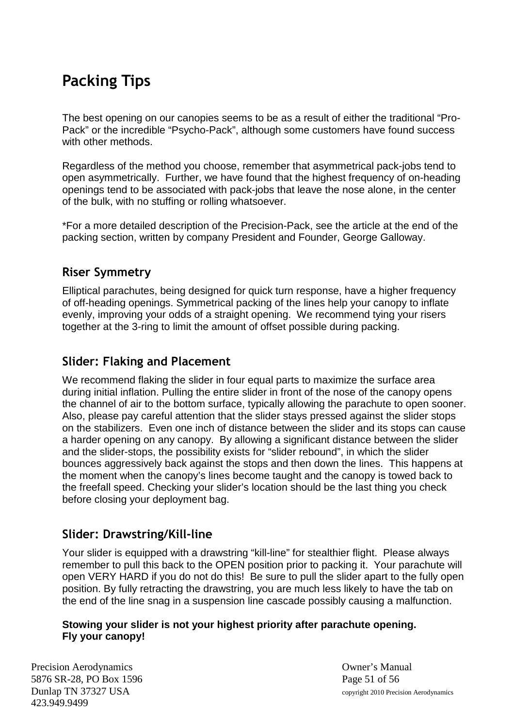# **Packing Tips**

The best opening on our canopies seems to be as a result of either the traditional "Pro-Pack" or the incredible "Psycho-Pack", although some customers have found success with other methods.

Regardless of the method you choose, remember that asymmetrical pack-jobs tend to open asymmetrically. Further, we have found that the highest frequency of on-heading openings tend to be associated with pack-jobs that leave the nose alone, in the center of the bulk, with no stuffing or rolling whatsoever.

\*For a more detailed description of the Precision-Pack, see the article at the end of the packing section, written by company President and Founder, George Galloway.

# **Riser Symmetry**

Elliptical parachutes, being designed for quick turn response, have a higher frequency of off-heading openings. Symmetrical packing of the lines help your canopy to inflate evenly, improving your odds of a straight opening. We recommend tying your risers together at the 3-ring to limit the amount of offset possible during packing.

# **Slider: Flaking and Placement**

We recommend flaking the slider in four equal parts to maximize the surface area during initial inflation. Pulling the entire slider in front of the nose of the canopy opens the channel of air to the bottom surface, typically allowing the parachute to open sooner. Also, please pay careful attention that the slider stays pressed against the slider stops on the stabilizers. Even one inch of distance between the slider and its stops can cause a harder opening on any canopy. By allowing a significant distance between the slider and the slider-stops, the possibility exists for "slider rebound", in which the slider bounces aggressively back against the stops and then down the lines. This happens at the moment when the canopy's lines become taught and the canopy is towed back to the freefall speed. Checking your slider's location should be the last thing you check before closing your deployment bag.

# **Slider: Drawstring/Kill-line**

Your slider is equipped with a drawstring "kill-line" for stealthier flight. Please always remember to pull this back to the OPEN position prior to packing it. Your parachute will open VERY HARD if you do not do this! Be sure to pull the slider apart to the fully open position. By fully retracting the drawstring, you are much less likely to have the tab on the end of the line snag in a suspension line cascade possibly causing a malfunction.

#### **Stowing your slider is not your highest priority after parachute opening. Fly your canopy!**

Precision Aerodynamics Owner's Manual 5876 SR-28, PO Box 1596 Page 51 of 56 Dunlap TN 37327 USA copyright 2010 Precision Aerodynamics 423.949.9499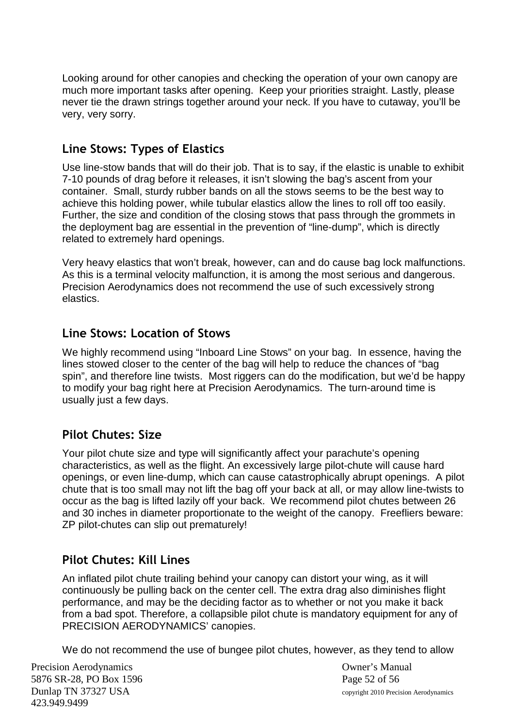Looking around for other canopies and checking the operation of your own canopy are much more important tasks after opening. Keep your priorities straight. Lastly, please never tie the drawn strings together around your neck. If you have to cutaway, you'll be very, very sorry.

# **Line Stows: Types of Elastics**

Use line-stow bands that will do their job. That is to say, if the elastic is unable to exhibit 7-10 pounds of drag before it releases, it isn't slowing the bag's ascent from your container. Small, sturdy rubber bands on all the stows seems to be the best way to achieve this holding power, while tubular elastics allow the lines to roll off too easily. Further, the size and condition of the closing stows that pass through the grommets in the deployment bag are essential in the prevention of "line-dump", which is directly related to extremely hard openings.

Very heavy elastics that won't break, however, can and do cause bag lock malfunctions. As this is a terminal velocity malfunction, it is among the most serious and dangerous. Precision Aerodynamics does not recommend the use of such excessively strong elastics.

#### **Line Stows: Location of Stows**

We highly recommend using "Inboard Line Stows" on your bag. In essence, having the lines stowed closer to the center of the bag will help to reduce the chances of "bag spin", and therefore line twists. Most riggers can do the modification, but we'd be happy to modify your bag right here at Precision Aerodynamics. The turn-around time is usually just a few days.

# **Pilot Chutes: Size**

Your pilot chute size and type will significantly affect your parachute's opening characteristics, as well as the flight. An excessively large pilot-chute will cause hard openings, or even line-dump, which can cause catastrophically abrupt openings. A pilot chute that is too small may not lift the bag off your back at all, or may allow line-twists to occur as the bag is lifted lazily off your back. We recommend pilot chutes between 26 and 30 inches in diameter proportionate to the weight of the canopy. Freefliers beware: ZP pilot-chutes can slip out prematurely!

# **Pilot Chutes: Kill Lines**

An inflated pilot chute trailing behind your canopy can distort your wing, as it will continuously be pulling back on the center cell. The extra drag also diminishes flight performance, and may be the deciding factor as to whether or not you make it back from a bad spot. Therefore, a collapsible pilot chute is mandatory equipment for any of PRECISION AERODYNAMICS' canopies.

We do not recommend the use of bungee pilot chutes, however, as they tend to allow

Precision Aerodynamics Owner's Manual 5876 SR-28, PO Box 1596 Page 52 of 56 Dunlap TN 37327 USA copyright 2010 Precision Aerodynamics 423.949.9499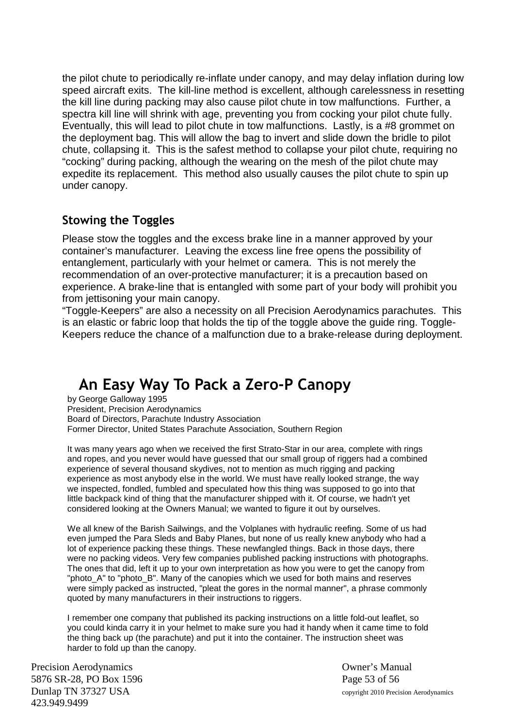the pilot chute to periodically re-inflate under canopy, and may delay inflation during low speed aircraft exits. The kill-line method is excellent, although carelessness in resetting the kill line during packing may also cause pilot chute in tow malfunctions. Further, a spectra kill line will shrink with age, preventing you from cocking your pilot chute fully. Eventually, this will lead to pilot chute in tow malfunctions. Lastly, is a #8 grommet on the deployment bag. This will allow the bag to invert and slide down the bridle to pilot chute, collapsing it. This is the safest method to collapse your pilot chute, requiring no "cocking" during packing, although the wearing on the mesh of the pilot chute may expedite its replacement. This method also usually causes the pilot chute to spin up under canopy.

## **Stowing the Toggles**

Please stow the toggles and the excess brake line in a manner approved by your container's manufacturer. Leaving the excess line free opens the possibility of entanglement, particularly with your helmet or camera. This is not merely the recommendation of an over-protective manufacturer; it is a precaution based on experience. A brake-line that is entangled with some part of your body will prohibit you from jettisoning your main canopy.

"Toggle-Keepers" are also a necessity on all Precision Aerodynamics parachutes. This is an elastic or fabric loop that holds the tip of the toggle above the guide ring. Toggle-Keepers reduce the chance of a malfunction due to a brake-release during deployment.

# **An Easy Way To Pack a Zero-P Canopy**

by George Galloway 1995 President, Precision Aerodynamics Board of Directors, Parachute Industry Association Former Director, United States Parachute Association, Southern Region

It was many years ago when we received the first Strato-Star in our area, complete with rings and ropes, and you never would have guessed that our small group of riggers had a combined experience of several thousand skydives, not to mention as much rigging and packing experience as most anybody else in the world. We must have really looked strange, the way we inspected, fondled, fumbled and speculated how this thing was supposed to go into that little backpack kind of thing that the manufacturer shipped with it. Of course, we hadn't yet considered looking at the Owners Manual; we wanted to figure it out by ourselves.

We all knew of the Barish Sailwings, and the Volplanes with hydraulic reefing. Some of us had even jumped the Para Sleds and Baby Planes, but none of us really knew anybody who had a lot of experience packing these things. These newfangled things. Back in those days, there were no packing videos. Very few companies published packing instructions with photographs. The ones that did, left it up to your own interpretation as how you were to get the canopy from "photo\_A" to "photo\_B". Many of the canopies which we used for both mains and reserves were simply packed as instructed, "pleat the gores in the normal manner", a phrase commonly quoted by many manufacturers in their instructions to riggers.

I remember one company that published its packing instructions on a little fold-out leaflet, so you could kinda carry it in your helmet to make sure you had it handy when it came time to fold the thing back up (the parachute) and put it into the container. The instruction sheet was harder to fold up than the canopy.

Precision Aerodynamics Owner's Manual 5876 SR-28, PO Box 1596 Page 53 of 56 Dunlap TN 37327 USA copyright 2010 Precision Aerodynamics 423.949.9499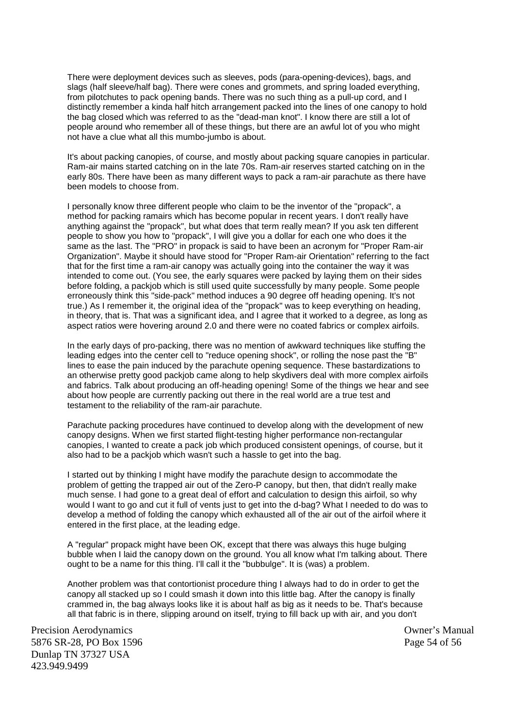There were deployment devices such as sleeves, pods (para-opening-devices), bags, and slags (half sleeve/half bag). There were cones and grommets, and spring loaded everything, from pilotchutes to pack opening bands. There was no such thing as a pull-up cord, and I distinctly remember a kinda half hitch arrangement packed into the lines of one canopy to hold the bag closed which was referred to as the "dead-man knot". I know there are still a lot of people around who remember all of these things, but there are an awful lot of you who might not have a clue what all this mumbo-jumbo is about.

It's about packing canopies, of course, and mostly about packing square canopies in particular. Ram-air mains started catching on in the late 70s. Ram-air reserves started catching on in the early 80s. There have been as many different ways to pack a ram-air parachute as there have been models to choose from.

I personally know three different people who claim to be the inventor of the "propack", a method for packing ramairs which has become popular in recent years. I don't really have anything against the "propack", but what does that term really mean? If you ask ten different people to show you how to "propack", I will give you a dollar for each one who does it the same as the last. The "PRO" in propack is said to have been an acronym for "Proper Ram-air Organization". Maybe it should have stood for "Proper Ram-air Orientation" referring to the fact that for the first time a ram-air canopy was actually going into the container the way it was intended to come out. (You see, the early squares were packed by laying them on their sides before folding, a packjob which is still used quite successfully by many people. Some people erroneously think this "side-pack" method induces a 90 degree off heading opening. It's not true.) As I remember it, the original idea of the "propack" was to keep everything on heading, in theory, that is. That was a significant idea, and I agree that it worked to a degree, as long as aspect ratios were hovering around 2.0 and there were no coated fabrics or complex airfoils.

In the early days of pro-packing, there was no mention of awkward techniques like stuffing the leading edges into the center cell to "reduce opening shock", or rolling the nose past the "B" lines to ease the pain induced by the parachute opening sequence. These bastardizations to an otherwise pretty good packjob came along to help skydivers deal with more complex airfoils and fabrics. Talk about producing an off-heading opening! Some of the things we hear and see about how people are currently packing out there in the real world are a true test and testament to the reliability of the ram-air parachute.

Parachute packing procedures have continued to develop along with the development of new canopy designs. When we first started flight-testing higher performance non-rectangular canopies, I wanted to create a pack job which produced consistent openings, of course, but it also had to be a packjob which wasn't such a hassle to get into the bag.

I started out by thinking I might have modify the parachute design to accommodate the problem of getting the trapped air out of the Zero-P canopy, but then, that didn't really make much sense. I had gone to a great deal of effort and calculation to design this airfoil, so why would I want to go and cut it full of vents just to get into the d-bag? What I needed to do was to develop a method of folding the canopy which exhausted all of the air out of the airfoil where it entered in the first place, at the leading edge.

A "regular" propack might have been OK, except that there was always this huge bulging bubble when I laid the canopy down on the ground. You all know what I'm talking about. There ought to be a name for this thing. I'll call it the "bubbulge". It is (was) a problem.

Another problem was that contortionist procedure thing I always had to do in order to get the canopy all stacked up so I could smash it down into this little bag. After the canopy is finally crammed in, the bag always looks like it is about half as big as it needs to be. That's because all that fabric is in there, slipping around on itself, trying to fill back up with air, and you don't

Precision Aerodynamics Owner's Manual 5876 SR-28, PO Box 1596 Page 54 of 56 Dunlap TN 37327 USA 423.949.9499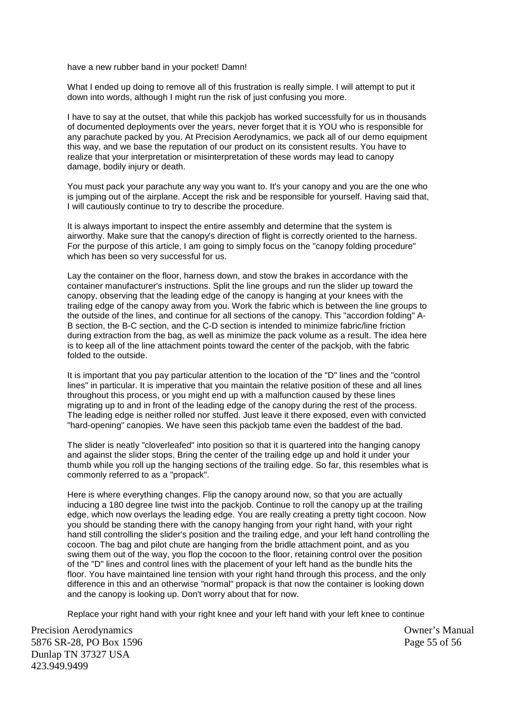have a new rubber band in your pocket! Damn!

What I ended up doing to remove all of this frustration is really simple. I will attempt to put it down into words, although I might run the risk of just confusing you more.

I have to say at the outset, that while this packjob has worked successfully for us in thousands of documented deployments over the years, never forget that it is YOU who is responsible for any parachute packed by you. At Precision Aerodynamics, we pack all of our demo equipment this way, and we base the reputation of our product on its consistent results. You have to realize that your interpretation or misinterpretation of these words may lead to canopy damage, bodily injury or death.

You must pack your parachute any way you want to. It's your canopy and you are the one who is jumping out of the airplane. Accept the risk and be responsible for yourself. Having said that, I will cautiously continue to try to describe the procedure.

It is always important to inspect the entire assembly and determine that the system is airworthy. Make sure that the canopy's direction of flight is correctly oriented to the harness. For the purpose of this article, I am going to simply focus on the "canopy folding procedure" which has been so very successful for us.

Lay the container on the floor, harness down, and stow the brakes in accordance with the container manufacturer's instructions. Split the line groups and run the slider up toward the canopy, observing that the leading edge of the canopy is hanging at your knees with the trailing edge of the canopy away from you. Work the fabric which is between the line groups to the outside of the lines, and continue for all sections of the canopy. This "accordion folding" A-B section, the B-C section, and the C-D section is intended to minimize fabric/line friction during extraction from the bag, as well as minimize the pack volume as a result. The idea here is to keep all of the line attachment points toward the center of the packjob, with the fabric folded to the outside.

It is important that you pay particular attention to the location of the "D" lines and the "control lines" in particular. It is imperative that you maintain the relative position of these and all lines throughout this process, or you might end up with a malfunction caused by these lines migrating up to and in front of the leading edge of the canopy during the rest of the process. The leading edge is neither rolled nor stuffed. Just leave it there exposed, even with convicted "hard-opening" canopies. We have seen this packjob tame even the baddest of the bad.

The slider is neatly "cloverleafed" into position so that it is quartered into the hanging canopy and against the slider stops. Bring the center of the trailing edge up and hold it under your thumb while you roll up the hanging sections of the trailing edge. So far, this resembles what is commonly referred to as a "propack".

Here is where everything changes. Flip the canopy around now, so that you are actually inducing a 180 degree line twist into the packjob. Continue to roll the canopy up at the trailing edge, which now overlays the leading edge. You are really creating a pretty tight cocoon. Now you should be standing there with the canopy hanging from your right hand, with your right hand still controlling the slider's position and the trailing edge, and your left hand controlling the cocoon. The bag and pilot chute are hanging from the bridle attachment point, and as you swing them out of the way, you flop the cocoon to the floor, retaining control over the position of the "D" lines and control lines with the placement of your left hand as the bundle hits the floor. You have maintained line tension with your right hand through this process, and the only difference in this and an otherwise "normal" propack is that now the container is looking down and the canopy is looking up. Don't worry about that for now.

Replace your right hand with your right knee and your left hand with your left knee to continue

Precision Aerodynamics Owner's Manual 5876 SR-28, PO Box 1596 Page 55 of 56 Dunlap TN 37327 USA 423.949.9499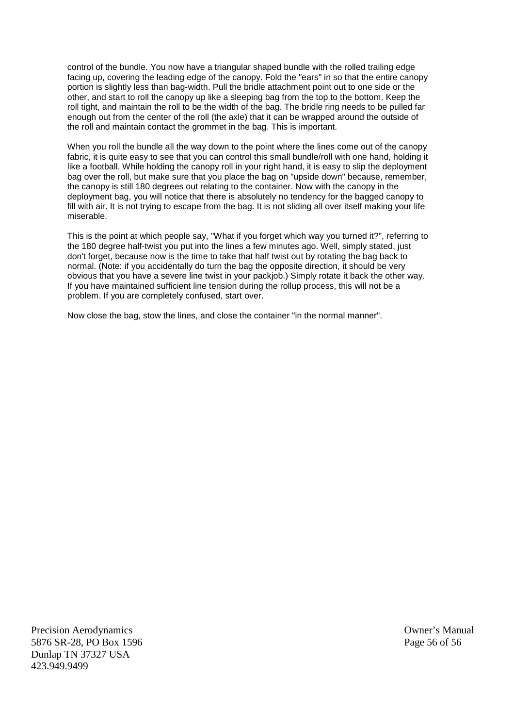control of the bundle. You now have a triangular shaped bundle with the rolled trailing edge facing up, covering the leading edge of the canopy. Fold the "ears" in so that the entire canopy portion is slightly less than bag-width. Pull the bridle attachment point out to one side or the other, and start to roll the canopy up like a sleeping bag from the top to the bottom. Keep the roll tight, and maintain the roll to be the width of the bag. The bridle ring needs to be pulled far enough out from the center of the roll (the axle) that it can be wrapped around the outside of the roll and maintain contact the grommet in the bag. This is important.

When you roll the bundle all the way down to the point where the lines come out of the canopy fabric, it is quite easy to see that you can control this small bundle/roll with one hand, holding it like a football. While holding the canopy roll in your right hand, it is easy to slip the deployment bag over the roll, but make sure that you place the bag on "upside down" because, remember, the canopy is still 180 degrees out relating to the container. Now with the canopy in the deployment bag, you will notice that there is absolutely no tendency for the bagged canopy to fill with air. It is not trying to escape from the bag. It is not sliding all over itself making your life miserable.

This is the point at which people say, "What if you forget which way you turned it?", referring to the 180 degree half-twist you put into the lines a few minutes ago. Well, simply stated, just don't forget, because now is the time to take that half twist out by rotating the bag back to normal. (Note: if you accidentally do turn the bag the opposite direction, it should be very obvious that you have a severe line twist in your packjob.) Simply rotate it back the other way. If you have maintained sufficient line tension during the rollup process, this will not be a problem. If you are completely confused, start over.

Now close the bag, stow the lines, and close the container "in the normal manner".

Precision Aerodynamics **Owner's Manual** 5876 SR-28, PO Box 1596 Page 56 of 56 Dunlap TN 37327 USA 423.949.9499